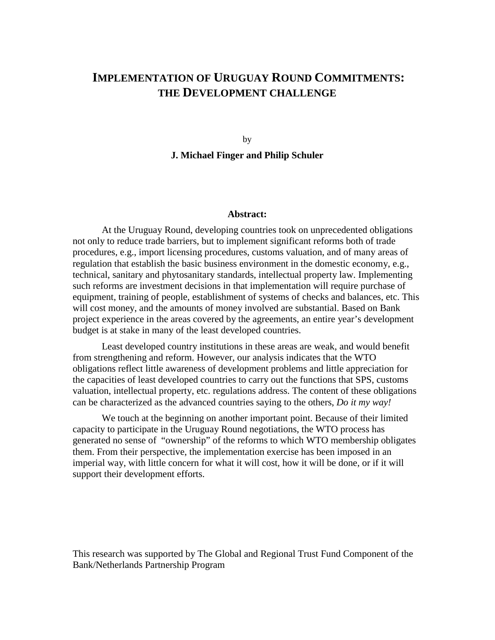## **IMPLEMENTATION OF URUGUAY ROUND COMMITMENTS: THE DEVELOPMENT CHALLENGE**

by

**J. Michael Finger and Philip Schuler**

#### **Abstract:**

At the Uruguay Round, developing countries took on unprecedented obligations not only to reduce trade barriers, but to implement significant reforms both of trade procedures, e.g., import licensing procedures, customs valuation, and of many areas of regulation that establish the basic business environment in the domestic economy, e.g., technical, sanitary and phytosanitary standards, intellectual property law. Implementing such reforms are investment decisions in that implementation will require purchase of equipment, training of people, establishment of systems of checks and balances, etc. This will cost money, and the amounts of money involved are substantial. Based on Bank project experience in the areas covered by the agreements, an entire year's development budget is at stake in many of the least developed countries.

Least developed country institutions in these areas are weak, and would benefit from strengthening and reform. However, our analysis indicates that the WTO obligations reflect little awareness of development problems and little appreciation for the capacities of least developed countries to carry out the functions that SPS, customs valuation, intellectual property, etc. regulations address. The content of these obligations can be characterized as the advanced countries saying to the others, *Do it my way!*

We touch at the beginning on another important point. Because of their limited capacity to participate in the Uruguay Round negotiations, the WTO process has generated no sense of "ownership" of the reforms to which WTO membership obligates them. From their perspective, the implementation exercise has been imposed in an imperial way, with little concern for what it will cost, how it will be done, or if it will support their development efforts.

This research was supported by The Global and Regional Trust Fund Component of the Bank/Netherlands Partnership Program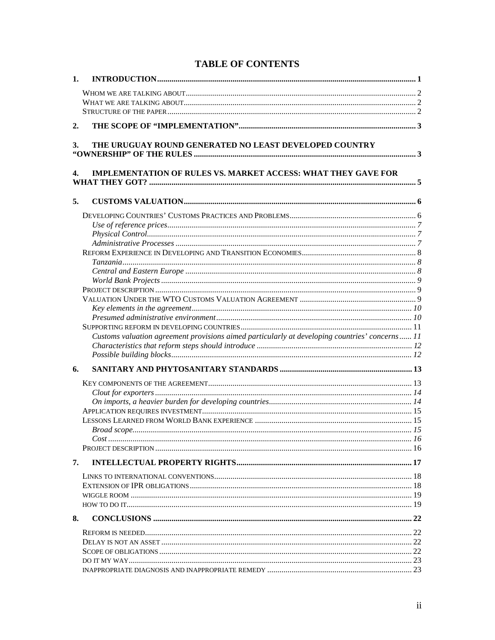| 1. |                                                                                                |  |
|----|------------------------------------------------------------------------------------------------|--|
|    |                                                                                                |  |
|    |                                                                                                |  |
|    |                                                                                                |  |
|    |                                                                                                |  |
| 2. |                                                                                                |  |
| 3. | THE URUGUAY ROUND GENERATED NO LEAST DEVELOPED COUNTRY                                         |  |
|    |                                                                                                |  |
|    |                                                                                                |  |
| 4. | <b>IMPLEMENTATION OF RULES VS. MARKET ACCESS: WHAT THEY GAVE FOR</b>                           |  |
|    |                                                                                                |  |
| 5. |                                                                                                |  |
|    |                                                                                                |  |
|    |                                                                                                |  |
|    |                                                                                                |  |
|    |                                                                                                |  |
|    |                                                                                                |  |
|    |                                                                                                |  |
|    |                                                                                                |  |
|    |                                                                                                |  |
|    |                                                                                                |  |
|    |                                                                                                |  |
|    |                                                                                                |  |
|    |                                                                                                |  |
|    |                                                                                                |  |
|    | Customs valuation agreement provisions aimed particularly at developing countries' concerns 11 |  |
|    |                                                                                                |  |
|    |                                                                                                |  |
| 6. |                                                                                                |  |
|    |                                                                                                |  |
|    |                                                                                                |  |
|    |                                                                                                |  |
|    |                                                                                                |  |
|    |                                                                                                |  |
|    |                                                                                                |  |
|    |                                                                                                |  |
|    |                                                                                                |  |
| 7. |                                                                                                |  |
|    |                                                                                                |  |
|    |                                                                                                |  |
|    |                                                                                                |  |
|    |                                                                                                |  |
| 8. |                                                                                                |  |
|    |                                                                                                |  |
|    |                                                                                                |  |
|    |                                                                                                |  |
|    |                                                                                                |  |
|    |                                                                                                |  |

## **TABLE OF CONTENTS**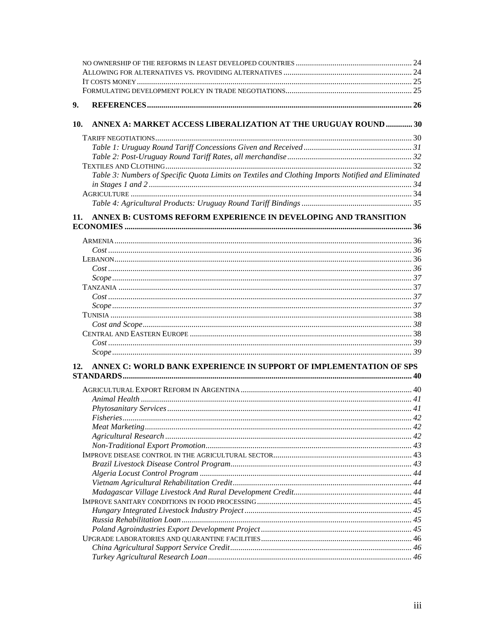| 9.  |                                                                                                    |  |
|-----|----------------------------------------------------------------------------------------------------|--|
| 10. | ANNEX A: MARKET ACCESS LIBERALIZATION AT THE URUGUAY ROUND  30                                     |  |
|     |                                                                                                    |  |
|     |                                                                                                    |  |
|     |                                                                                                    |  |
|     |                                                                                                    |  |
|     | Table 3: Numbers of Specific Quota Limits on Textiles and Clothing Imports Notified and Eliminated |  |
|     |                                                                                                    |  |
|     |                                                                                                    |  |
|     |                                                                                                    |  |
|     |                                                                                                    |  |
| 11. | ANNEX B: CUSTOMS REFORM EXPERIENCE IN DEVELOPING AND TRANSITION                                    |  |
|     |                                                                                                    |  |
|     |                                                                                                    |  |
|     |                                                                                                    |  |
|     |                                                                                                    |  |
|     |                                                                                                    |  |
|     |                                                                                                    |  |
|     |                                                                                                    |  |
|     |                                                                                                    |  |
|     |                                                                                                    |  |
|     |                                                                                                    |  |
|     |                                                                                                    |  |
|     |                                                                                                    |  |
|     |                                                                                                    |  |
|     |                                                                                                    |  |
| 12. | ANNEX C: WORLD BANK EXPERIENCE IN SUPPORT OF IMPLEMENTATION OF SPS                                 |  |
|     |                                                                                                    |  |
|     |                                                                                                    |  |
|     |                                                                                                    |  |
|     |                                                                                                    |  |
|     |                                                                                                    |  |
|     |                                                                                                    |  |
|     |                                                                                                    |  |
|     |                                                                                                    |  |
|     |                                                                                                    |  |
|     |                                                                                                    |  |
|     |                                                                                                    |  |
|     |                                                                                                    |  |
|     |                                                                                                    |  |
|     |                                                                                                    |  |
|     |                                                                                                    |  |
|     |                                                                                                    |  |
|     |                                                                                                    |  |
|     |                                                                                                    |  |
|     |                                                                                                    |  |
|     |                                                                                                    |  |
|     |                                                                                                    |  |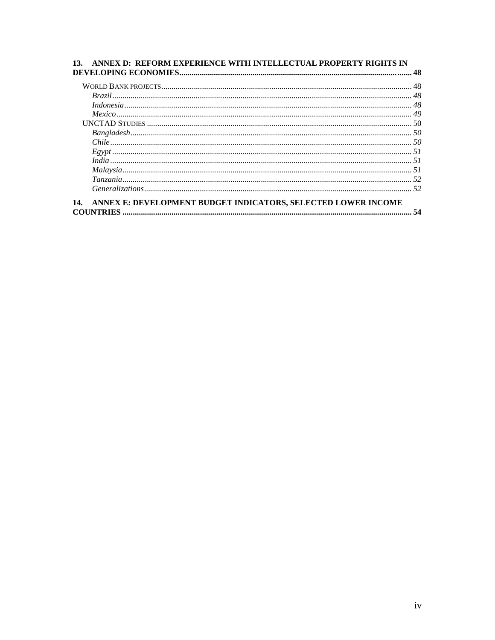| $\label{thm:example} Bangladesh\\ \hspace*{2.5cm} 50$ |  |
|-------------------------------------------------------|--|
|                                                       |  |
|                                                       |  |
|                                                       |  |
|                                                       |  |
|                                                       |  |
|                                                       |  |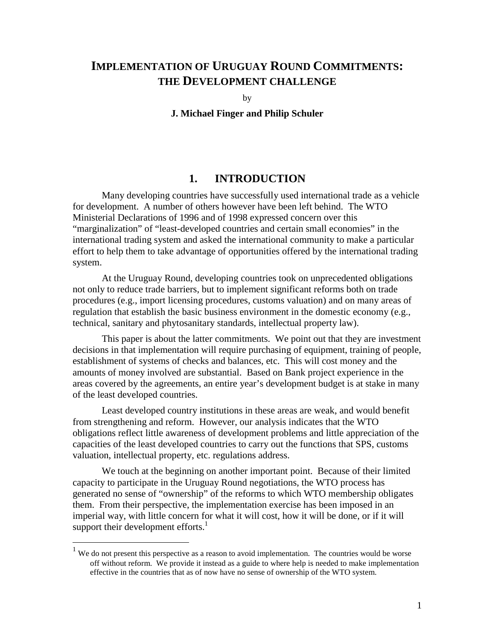## **IMPLEMENTATION OF URUGUAY ROUND COMMITMENTS: THE DEVELOPMENT CHALLENGE**

by

**J. Michael Finger and Philip Schuler**

## **1. INTRODUCTION**

Many developing countries have successfully used international trade as a vehicle for development. A number of others however have been left behind. The WTO Ministerial Declarations of 1996 and of 1998 expressed concern over this "marginalization" of "least-developed countries and certain small economies" in the international trading system and asked the international community to make a particular effort to help them to take advantage of opportunities offered by the international trading system.

At the Uruguay Round, developing countries took on unprecedented obligations not only to reduce trade barriers, but to implement significant reforms both on trade procedures (e.g., import licensing procedures, customs valuation) and on many areas of regulation that establish the basic business environment in the domestic economy (e.g., technical, sanitary and phytosanitary standards, intellectual property law).

This paper is about the latter commitments. We point out that they are investment decisions in that implementation will require purchasing of equipment, training of people, establishment of systems of checks and balances, etc. This will cost money and the amounts of money involved are substantial. Based on Bank project experience in the areas covered by the agreements, an entire year's development budget is at stake in many of the least developed countries.

Least developed country institutions in these areas are weak, and would benefit from strengthening and reform. However, our analysis indicates that the WTO obligations reflect little awareness of development problems and little appreciation of the capacities of the least developed countries to carry out the functions that SPS, customs valuation, intellectual property, etc. regulations address.

We touch at the beginning on another important point. Because of their limited capacity to participate in the Uruguay Round negotiations, the WTO process has generated no sense of "ownership" of the reforms to which WTO membership obligates them. From their perspective, the implementation exercise has been imposed in an imperial way, with little concern for what it will cost, how it will be done, or if it will support their development efforts.<sup>1</sup>

<sup>&</sup>lt;sup>1</sup> We do not present this perspective as a reason to avoid implementation. The countries would be worse off without reform. We provide it instead as a guide to where help is needed to make implementation effective in the countries that as of now have no sense of ownership of the WTO system.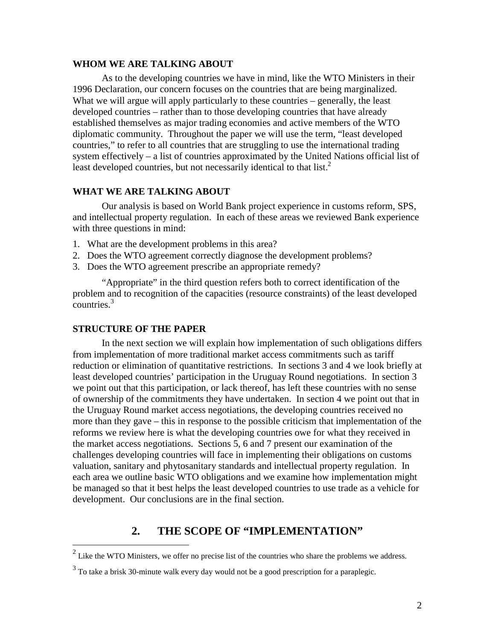### **WHOM WE ARE TALKING ABOUT**

As to the developing countries we have in mind, like the WTO Ministers in their 1996 Declaration, our concern focuses on the countries that are being marginalized. What we will argue will apply particularly to these countries – generally, the least developed countries – rather than to those developing countries that have already established themselves as major trading economies and active members of the WTO diplomatic community. Throughout the paper we will use the term, "least developed countries," to refer to all countries that are struggling to use the international trading system effectively – a list of countries approximated by the United Nations official list of least developed countries, but not necessarily identical to that list. $2^2$ 

### **WHAT WE ARE TALKING ABOUT**

Our analysis is based on World Bank project experience in customs reform, SPS, and intellectual property regulation. In each of these areas we reviewed Bank experience with three questions in mind:

- 1. What are the development problems in this area?
- 2. Does the WTO agreement correctly diagnose the development problems?
- 3. Does the WTO agreement prescribe an appropriate remedy?

"Appropriate" in the third question refers both to correct identification of the problem and to recognition of the capacities (resource constraints) of the least developed countries.<sup>3</sup>

#### **STRUCTURE OF THE PAPER**

<u>.</u>

In the next section we will explain how implementation of such obligations differs from implementation of more traditional market access commitments such as tariff reduction or elimination of quantitative restrictions. In sections 3 and 4 we look briefly at least developed countries' participation in the Uruguay Round negotiations. In section 3 we point out that this participation, or lack thereof, has left these countries with no sense of ownership of the commitments they have undertaken. In section 4 we point out that in the Uruguay Round market access negotiations, the developing countries received no more than they gave – this in response to the possible criticism that implementation of the reforms we review here is what the developing countries owe for what they received in the market access negotiations. Sections 5, 6 and 7 present our examination of the challenges developing countries will face in implementing their obligations on customs valuation, sanitary and phytosanitary standards and intellectual property regulation. In each area we outline basic WTO obligations and we examine how implementation might be managed so that it best helps the least developed countries to use trade as a vehicle for development. Our conclusions are in the final section.

## **2. THE SCOPE OF "IMPLEMENTATION"**

<sup>2</sup> Like the WTO Ministers, we offer no precise list of the countries who share the problems we address.

 $3$  To take a brisk 30-minute walk every day would not be a good prescription for a paraplegic.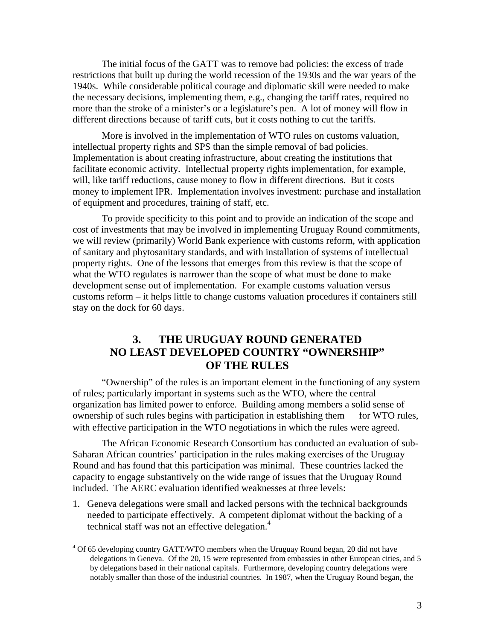The initial focus of the GATT was to remove bad policies: the excess of trade restrictions that built up during the world recession of the 1930s and the war years of the 1940s. While considerable political courage and diplomatic skill were needed to make the necessary decisions, implementing them, e.g., changing the tariff rates, required no more than the stroke of a minister's or a legislature's pen. A lot of money will flow in different directions because of tariff cuts, but it costs nothing to cut the tariffs.

More is involved in the implementation of WTO rules on customs valuation, intellectual property rights and SPS than the simple removal of bad policies. Implementation is about creating infrastructure, about creating the institutions that facilitate economic activity. Intellectual property rights implementation, for example, will, like tariff reductions, cause money to flow in different directions. But it costs money to implement IPR. Implementation involves investment: purchase and installation of equipment and procedures, training of staff, etc.

To provide specificity to this point and to provide an indication of the scope and cost of investments that may be involved in implementing Uruguay Round commitments, we will review (primarily) World Bank experience with customs reform, with application of sanitary and phytosanitary standards, and with installation of systems of intellectual property rights. One of the lessons that emerges from this review is that the scope of what the WTO regulates is narrower than the scope of what must be done to make development sense out of implementation. For example customs valuation versus customs reform – it helps little to change customs valuation procedures if containers still stay on the dock for 60 days.

## **3. THE URUGUAY ROUND GENERATED NO LEAST DEVELOPED COUNTRY "OWNERSHIP" OF THE RULES**

"Ownership" of the rules is an important element in the functioning of any system of rules; particularly important in systems such as the WTO, where the central organization has limited power to enforce. Building among members a solid sense of ownership of such rules begins with participation in establishing them – for WTO rules, with effective participation in the WTO negotiations in which the rules were agreed.

The African Economic Research Consortium has conducted an evaluation of sub-Saharan African countries' participation in the rules making exercises of the Uruguay Round and has found that this participation was minimal. These countries lacked the capacity to engage substantively on the wide range of issues that the Uruguay Round included. The AERC evaluation identified weaknesses at three levels:

1. Geneva delegations were small and lacked persons with the technical backgrounds needed to participate effectively. A competent diplomat without the backing of a technical staff was not an effective delegation.<sup>4</sup>

<u>.</u>

<sup>&</sup>lt;sup>4</sup> Of 65 developing country GATT/WTO members when the Uruguay Round began, 20 did not have delegations in Geneva. Of the 20, 15 were represented from embassies in other European cities, and 5 by delegations based in their national capitals. Furthermore, developing country delegations were notably smaller than those of the industrial countries. In 1987, when the Uruguay Round began, the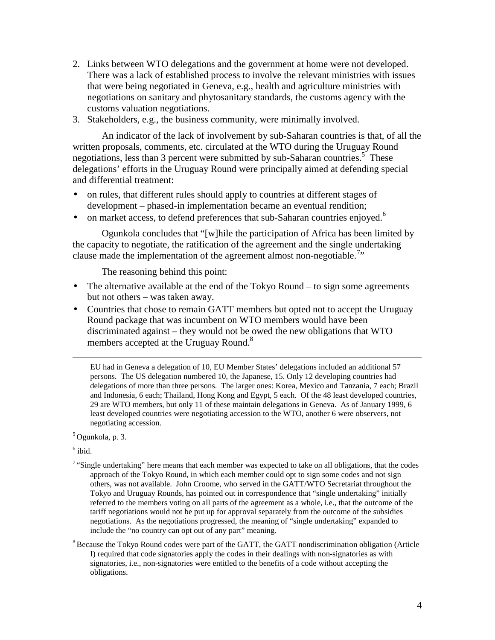- 2. Links between WTO delegations and the government at home were not developed. There was a lack of established process to involve the relevant ministries with issues that were being negotiated in Geneva, e.g., health and agriculture ministries with negotiations on sanitary and phytosanitary standards, the customs agency with the customs valuation negotiations.
- 3. Stakeholders, e.g., the business community, were minimally involved.

An indicator of the lack of involvement by sub-Saharan countries is that, of all the written proposals, comments, etc. circulated at the WTO during the Uruguay Round negotiations, less than 3 percent were submitted by sub-Saharan countries.<sup>5</sup> These delegations' efforts in the Uruguay Round were principally aimed at defending special and differential treatment:

- on rules, that different rules should apply to countries at different stages of development – phased-in implementation became an eventual rendition;
- on market access, to defend preferences that sub-Saharan countries enjoyed.<sup>6</sup>

Ogunkola concludes that "[w]hile the participation of Africa has been limited by the capacity to negotiate, the ratification of the agreement and the single undertaking clause made the implementation of the agreement almost non-negotiable.<sup>7</sup>"

The reasoning behind this point:

- The alternative available at the end of the Tokyo Round to sign some agreements but not others – was taken away.
- Countries that chose to remain GATT members but opted not to accept the Uruguay Round package that was incumbent on WTO members would have been discriminated against – they would not be owed the new obligations that WTO members accepted at the Uruguay Round.<sup>8</sup>

 EU had in Geneva a delegation of 10, EU Member States' delegations included an additional 57 persons. The US delegation numbered 10, the Japanese, 15. Only 12 developing countries had delegations of more than three persons. The larger ones: Korea, Mexico and Tanzania, 7 each; Brazil and Indonesia, 6 each; Thailand, Hong Kong and Egypt, 5 each. Of the 48 least developed countries, 29 are WTO members, but only 11 of these maintain delegations in Geneva. As of January 1999, 6 least developed countries were negotiating accession to the WTO, another 6 were observers, not negotiating accession.

5 Ogunkola, p. 3.

 $<sup>6</sup>$  ibid.</sup>

- $7$  "Single undertaking" here means that each member was expected to take on all obligations, that the codes approach of the Tokyo Round, in which each member could opt to sign some codes and not sign others, was not available. John Croome, who served in the GATT/WTO Secretariat throughout the Tokyo and Uruguay Rounds, has pointed out in correspondence that "single undertaking" initially referred to the members voting on all parts of the agreement as a whole, i.e., that the outcome of the tariff negotiations would not be put up for approval separately from the outcome of the subsidies negotiations. As the negotiations progressed, the meaning of "single undertaking" expanded to include the "no country can opt out of any part" meaning.
- $8$  Because the Tokyo Round codes were part of the GATT, the GATT nondiscrimination obligation (Article I) required that code signatories apply the codes in their dealings with non-signatories as with signatories, i.e., non-signatories were entitled to the benefits of a code without accepting the obligations.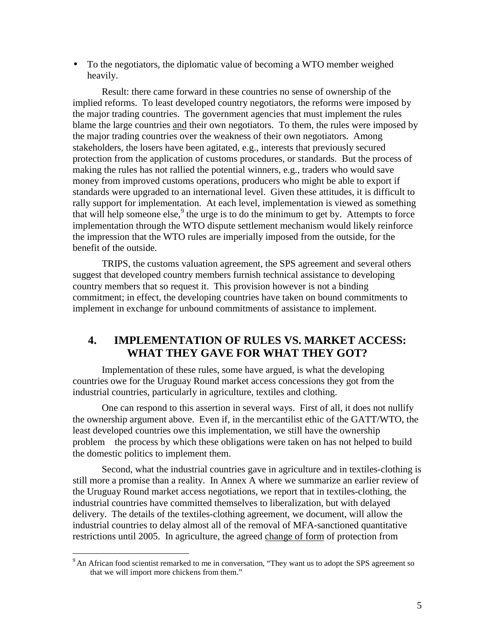• To the negotiators, the diplomatic value of becoming a WTO member weighed heavily.

Result: there came forward in these countries no sense of ownership of the implied reforms. To least developed country negotiators, the reforms were imposed by the major trading countries. The government agencies that must implement the rules blame the large countries and their own negotiators. To them, the rules were imposed by the major trading countries over the weakness of their own negotiators. Among stakeholders, the losers have been agitated, e.g., interests that previously secured protection from the application of customs procedures, or standards. But the process of making the rules has not rallied the potential winners, e.g., traders who would save money from improved customs operations, producers who might be able to export if standards were upgraded to an international level. Given these attitudes, it is difficult to rally support for implementation. At each level, implementation is viewed as something that will help someone else,  $9$  the urge is to do the minimum to get by. Attempts to force implementation through the WTO dispute settlement mechanism would likely reinforce the impression that the WTO rules are imperially imposed from the outside, for the benefit of the outside.

TRIPS, the customs valuation agreement, the SPS agreement and several others suggest that developed country members furnish technical assistance to developing country members that so request it. This provision however is not a binding commitment; in effect, the developing countries have taken on bound commitments to implement in exchange for unbound commitments of assistance to implement.

## **4. IMPLEMENTATION OF RULES VS. MARKET ACCESS: WHAT THEY GAVE FOR WHAT THEY GOT?**

Implementation of these rules, some have argued, is what the developing countries owe for the Uruguay Round market access concessions they got from the industrial countries, particularly in agriculture, textiles and clothing.

One can respond to this assertion in several ways. First of all, it does not nullify the ownership argument above. Even if, in the mercantilist ethic of the GATT/WTO, the least developed countries owe this implementation, we still have the ownership problem—the process by which these obligations were taken on has not helped to build the domestic politics to implement them.

Second, what the industrial countries gave in agriculture and in textiles-clothing is still more a promise than a reality. In Annex A where we summarize an earlier review of the Uruguay Round market access negotiations, we report that in textiles-clothing, the industrial countries have committed themselves to liberalization, but with delayed delivery. The details of the textiles-clothing agreement, we document, will allow the industrial countries to delay almost all of the removal of MFA-sanctioned quantitative restrictions until 2005. In agriculture, the agreed change of form of protection from

-

<sup>&</sup>lt;sup>9</sup> An African food scientist remarked to me in conversation, "They want us to adopt the SPS agreement so that we will import more chickens from them."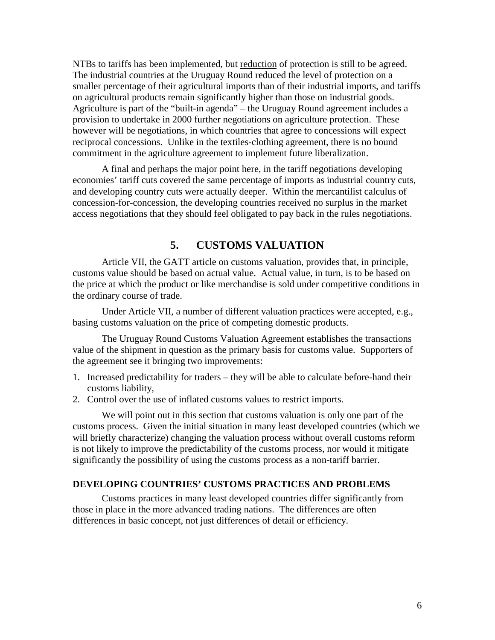NTBs to tariffs has been implemented, but reduction of protection is still to be agreed. The industrial countries at the Uruguay Round reduced the level of protection on a smaller percentage of their agricultural imports than of their industrial imports, and tariffs on agricultural products remain significantly higher than those on industrial goods. Agriculture is part of the "built-in agenda" – the Uruguay Round agreement includes a provision to undertake in 2000 further negotiations on agriculture protection. These however will be negotiations, in which countries that agree to concessions will expect reciprocal concessions. Unlike in the textiles-clothing agreement, there is no bound commitment in the agriculture agreement to implement future liberalization.

A final and perhaps the major point here, in the tariff negotiations developing economies' tariff cuts covered the same percentage of imports as industrial country cuts, and developing country cuts were actually deeper. Within the mercantilist calculus of concession-for-concession, the developing countries received no surplus in the market access negotiations that they should feel obligated to pay back in the rules negotiations.

## **5. CUSTOMS VALUATION**

Article VII, the GATT article on customs valuation, provides that, in principle, customs value should be based on actual value. Actual value, in turn, is to be based on the price at which the product or like merchandise is sold under competitive conditions in the ordinary course of trade.

Under Article VII, a number of different valuation practices were accepted, e.g., basing customs valuation on the price of competing domestic products.

The Uruguay Round Customs Valuation Agreement establishes the transactions value of the shipment in question as the primary basis for customs value. Supporters of the agreement see it bringing two improvements:

- 1. Increased predictability for traders they will be able to calculate before-hand their customs liability,
- 2. Control over the use of inflated customs values to restrict imports.

We will point out in this section that customs valuation is only one part of the customs process. Given the initial situation in many least developed countries (which we will briefly characterize) changing the valuation process without overall customs reform is not likely to improve the predictability of the customs process, nor would it mitigate significantly the possibility of using the customs process as a non-tariff barrier.

### **DEVELOPING COUNTRIES' CUSTOMS PRACTICES AND PROBLEMS**

Customs practices in many least developed countries differ significantly from those in place in the more advanced trading nations. The differences are often differences in basic concept, not just differences of detail or efficiency.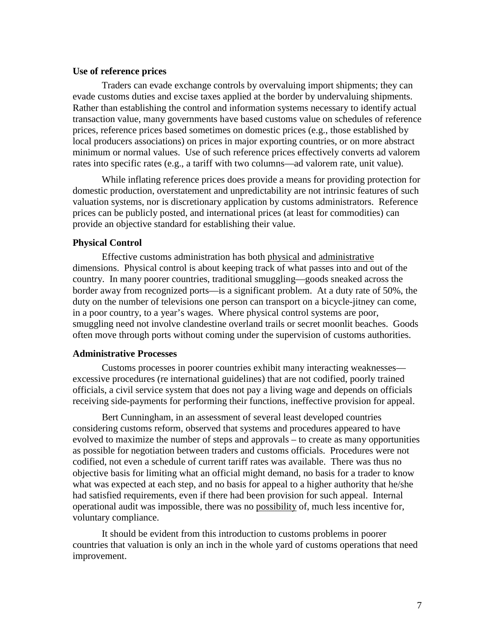#### **Use of reference prices**

Traders can evade exchange controls by overvaluing import shipments; they can evade customs duties and excise taxes applied at the border by undervaluing shipments. Rather than establishing the control and information systems necessary to identify actual transaction value, many governments have based customs value on schedules of reference prices, reference prices based sometimes on domestic prices (e.g., those established by local producers associations) on prices in major exporting countries, or on more abstract minimum or normal values. Use of such reference prices effectively converts ad valorem rates into specific rates (e.g., a tariff with two columns—ad valorem rate, unit value).

While inflating reference prices does provide a means for providing protection for domestic production, overstatement and unpredictability are not intrinsic features of such valuation systems, nor is discretionary application by customs administrators. Reference prices can be publicly posted, and international prices (at least for commodities) can provide an objective standard for establishing their value.

#### **Physical Control**

Effective customs administration has both physical and administrative dimensions. Physical control is about keeping track of what passes into and out of the country. In many poorer countries, traditional smuggling—goods sneaked across the border away from recognized ports—is a significant problem. At a duty rate of 50%, the duty on the number of televisions one person can transport on a bicycle-jitney can come, in a poor country, to a year's wages. Where physical control systems are poor, smuggling need not involve clandestine overland trails or secret moonlit beaches. Goods often move through ports without coming under the supervision of customs authorities.

#### **Administrative Processes**

Customs processes in poorer countries exhibit many interacting weaknesses excessive procedures (re international guidelines) that are not codified, poorly trained officials, a civil service system that does not pay a living wage and depends on officials receiving side-payments for performing their functions, ineffective provision for appeal.

Bert Cunningham, in an assessment of several least developed countries considering customs reform, observed that systems and procedures appeared to have evolved to maximize the number of steps and approvals – to create as many opportunities as possible for negotiation between traders and customs officials. Procedures were not codified, not even a schedule of current tariff rates was available. There was thus no objective basis for limiting what an official might demand, no basis for a trader to know what was expected at each step, and no basis for appeal to a higher authority that he/she had satisfied requirements, even if there had been provision for such appeal. Internal operational audit was impossible, there was no possibility of, much less incentive for, voluntary compliance.

It should be evident from this introduction to customs problems in poorer countries that valuation is only an inch in the whole yard of customs operations that need improvement.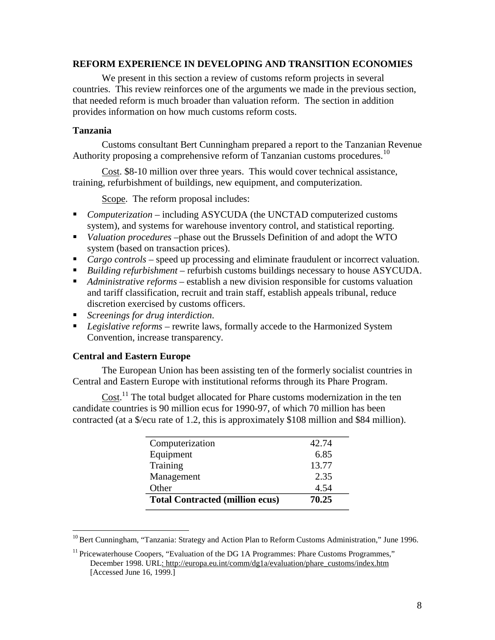## **REFORM EXPERIENCE IN DEVELOPING AND TRANSITION ECONOMIES**

We present in this section a review of customs reform projects in several countries. This review reinforces one of the arguments we made in the previous section, that needed reform is much broader than valuation reform. The section in addition provides information on how much customs reform costs.

### **Tanzania**

Customs consultant Bert Cunningham prepared a report to the Tanzanian Revenue Authority proposing a comprehensive reform of Tanzanian customs procedures.<sup>10</sup>

Cost. \$8-10 million over three years. This would cover technical assistance, training, refurbishment of buildings, new equipment, and computerization.

Scope. The reform proposal includes:

- *Computerization* including ASYCUDA (the UNCTAD computerized customs system), and systems for warehouse inventory control, and statistical reporting.
- *Valuation procedures* –phase out the Brussels Definition of and adopt the WTO system (based on transaction prices).
- *Cargo controls* speed up processing and eliminate fraudulent or incorrect valuation.
- *Building refurbishment* refurbish customs buildings necessary to house ASYCUDA.
- *Administrative reforms* establish a new division responsible for customs valuation and tariff classification, recruit and train staff, establish appeals tribunal, reduce discretion exercised by customs officers.
- *Screenings for drug interdiction*.
- *Legislative reforms* rewrite laws, formally accede to the Harmonized System Convention, increase transparency.

### **Central and Eastern Europe**

<u>.</u>

The European Union has been assisting ten of the formerly socialist countries in Central and Eastern Europe with institutional reforms through its Phare Program.

Cost.<sup>11</sup> The total budget allocated for Phare customs modernization in the ten candidate countries is 90 million ecus for 1990-97, of which 70 million has been contracted (at a \$/ecu rate of 1.2, this is approximately \$108 million and \$84 million).

| Computerization                        | 42.74 |
|----------------------------------------|-------|
| Equipment                              | 6.85  |
| Training                               | 13.77 |
| Management                             | 2.35  |
| Other                                  | 4.54  |
| <b>Total Contracted (million ecus)</b> | 70.25 |

<sup>&</sup>lt;sup>10</sup> Bert Cunningham, "Tanzania: Strategy and Action Plan to Reform Customs Administration," June 1996.

<sup>&</sup>lt;sup>11</sup> Pricewaterhouse Coopers, "Evaluation of the DG 1A Programmes: Phare Customs Programmes," December 1998. URL: http://europa.eu.int/comm/dg1a/evaluation/phare\_customs/index.htm [Accessed June 16, 1999.]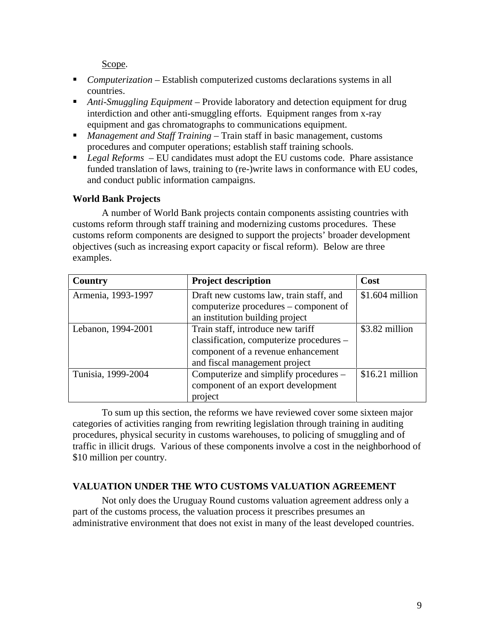Scope.

- *Computerization* Establish computerized customs declarations systems in all countries.
- *Anti-Smuggling Equipment* Provide laboratory and detection equipment for drug interdiction and other anti-smuggling efforts. Equipment ranges from x-ray equipment and gas chromatographs to communications equipment.
- *Management and Staff Training* Train staff in basic management, customs procedures and computer operations; establish staff training schools.
- *Legal Reforms*  EU candidates must adopt the EU customs code. Phare assistance funded translation of laws, training to (re-)write laws in conformance with EU codes, and conduct public information campaigns.

## **World Bank Projects**

A number of World Bank projects contain components assisting countries with customs reform through staff training and modernizing customs procedures. These customs reform components are designed to support the projects' broader development objectives (such as increasing export capacity or fiscal reform). Below are three examples.

| <b>Project description</b><br>Country |                                          | Cost             |
|---------------------------------------|------------------------------------------|------------------|
| Armenia, 1993-1997                    | Draft new customs law, train staff, and  | $$1.604$ million |
|                                       | computerize procedures – component of    |                  |
|                                       | an institution building project          |                  |
| Lebanon, 1994-2001                    | Train staff, introduce new tariff        | \$3.82 million   |
|                                       | classification, computerize procedures - |                  |
|                                       | component of a revenue enhancement       |                  |
|                                       | and fiscal management project            |                  |
| Tunisia, 1999-2004                    | Computerize and simplify procedures –    |                  |
|                                       | component of an export development       |                  |
|                                       | project                                  |                  |

To sum up this section, the reforms we have reviewed cover some sixteen major categories of activities ranging from rewriting legislation through training in auditing procedures, physical security in customs warehouses, to policing of smuggling and of traffic in illicit drugs. Various of these components involve a cost in the neighborhood of \$10 million per country.

## **VALUATION UNDER THE WTO CUSTOMS VALUATION AGREEMENT**

Not only does the Uruguay Round customs valuation agreement address only a part of the customs process, the valuation process it prescribes presumes an administrative environment that does not exist in many of the least developed countries.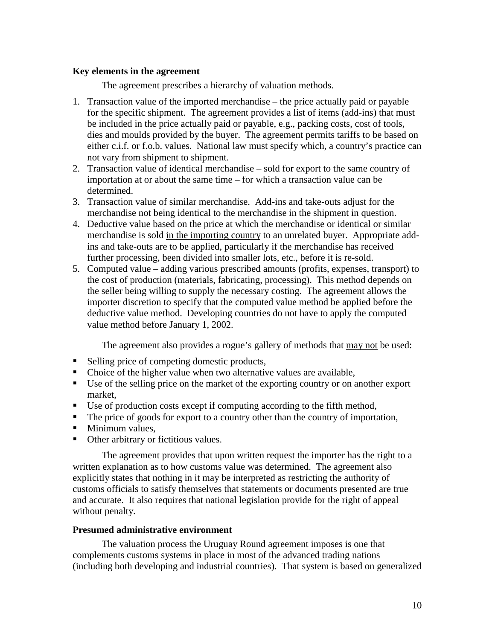## **Key elements in the agreement**

The agreement prescribes a hierarchy of valuation methods.

- 1. Transaction value of the imported merchandise the price actually paid or payable for the specific shipment. The agreement provides a list of items (add-ins) that must be included in the price actually paid or payable, e.g., packing costs, cost of tools, dies and moulds provided by the buyer. The agreement permits tariffs to be based on either c.i.f. or f.o.b. values. National law must specify which, a country's practice can not vary from shipment to shipment.
- 2. Transaction value of identical merchandise sold for export to the same country of importation at or about the same time – for which a transaction value can be determined.
- 3. Transaction value of similar merchandise. Add-ins and take-outs adjust for the merchandise not being identical to the merchandise in the shipment in question.
- 4. Deductive value based on the price at which the merchandise or identical or similar merchandise is sold in the importing country to an unrelated buyer. Appropriate addins and take-outs are to be applied, particularly if the merchandise has received further processing, been divided into smaller lots, etc., before it is re-sold.
- 5. Computed value adding various prescribed amounts (profits, expenses, transport) to the cost of production (materials, fabricating, processing). This method depends on the seller being willing to supply the necessary costing. The agreement allows the importer discretion to specify that the computed value method be applied before the deductive value method. Developing countries do not have to apply the computed value method before January 1, 2002.

The agreement also provides a rogue's gallery of methods that may not be used:

- Selling price of competing domestic products,
- Choice of the higher value when two alternative values are available,
- Use of the selling price on the market of the exporting country or on another export market,
- Use of production costs except if computing according to the fifth method,
- The price of goods for export to a country other than the country of importation,
- **Minimum values.**
- Other arbitrary or fictitious values.

The agreement provides that upon written request the importer has the right to a written explanation as to how customs value was determined. The agreement also explicitly states that nothing in it may be interpreted as restricting the authority of customs officials to satisfy themselves that statements or documents presented are true and accurate. It also requires that national legislation provide for the right of appeal without penalty.

### **Presumed administrative environment**

The valuation process the Uruguay Round agreement imposes is one that complements customs systems in place in most of the advanced trading nations (including both developing and industrial countries). That system is based on generalized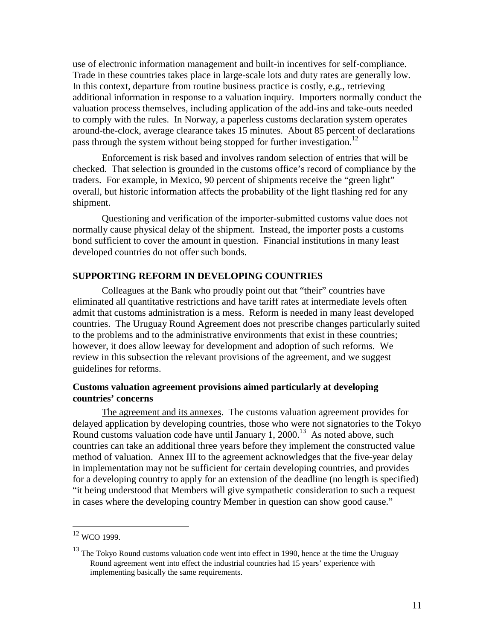use of electronic information management and built-in incentives for self-compliance. Trade in these countries takes place in large-scale lots and duty rates are generally low. In this context, departure from routine business practice is costly, e.g., retrieving additional information in response to a valuation inquiry. Importers normally conduct the valuation process themselves, including application of the add-ins and take-outs needed to comply with the rules. In Norway, a paperless customs declaration system operates around-the-clock, average clearance takes 15 minutes. About 85 percent of declarations pass through the system without being stopped for further investigation.<sup>12</sup>

Enforcement is risk based and involves random selection of entries that will be checked. That selection is grounded in the customs office's record of compliance by the traders. For example, in Mexico, 90 percent of shipments receive the "green light" overall, but historic information affects the probability of the light flashing red for any shipment.

Questioning and verification of the importer-submitted customs value does not normally cause physical delay of the shipment. Instead, the importer posts a customs bond sufficient to cover the amount in question. Financial institutions in many least developed countries do not offer such bonds.

### **SUPPORTING REFORM IN DEVELOPING COUNTRIES**

Colleagues at the Bank who proudly point out that "their" countries have eliminated all quantitative restrictions and have tariff rates at intermediate levels often admit that customs administration is a mess. Reform is needed in many least developed countries. The Uruguay Round Agreement does not prescribe changes particularly suited to the problems and to the administrative environments that exist in these countries; however, it does allow leeway for development and adoption of such reforms. We review in this subsection the relevant provisions of the agreement, and we suggest guidelines for reforms.

## **Customs valuation agreement provisions aimed particularly at developing countries' concerns**

The agreement and its annexes. The customs valuation agreement provides for delayed application by developing countries, those who were not signatories to the Tokyo Round customs valuation code have until January 1, 2000.<sup>13</sup> As noted above, such countries can take an additional three years before they implement the constructed value method of valuation. Annex III to the agreement acknowledges that the five-year delay in implementation may not be sufficient for certain developing countries, and provides for a developing country to apply for an extension of the deadline (no length is specified) "it being understood that Members will give sympathetic consideration to such a request in cases where the developing country Member in question can show good cause."

<u>.</u>

<sup>&</sup>lt;sup>12</sup> WCO 1999.

 $13$  The Tokyo Round customs valuation code went into effect in 1990, hence at the time the Uruguay Round agreement went into effect the industrial countries had 15 years' experience with implementing basically the same requirements.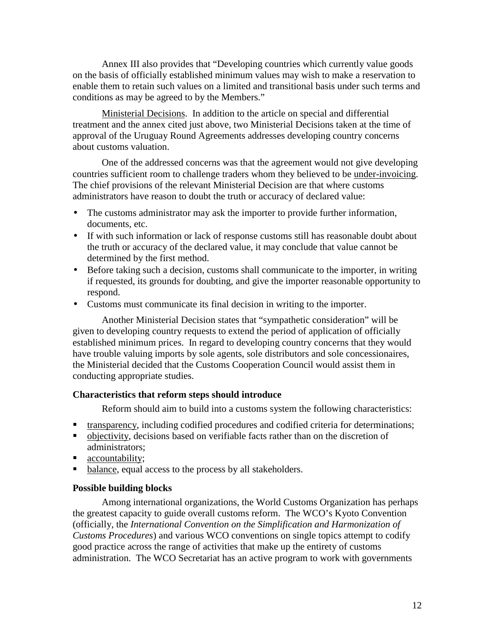Annex III also provides that "Developing countries which currently value goods on the basis of officially established minimum values may wish to make a reservation to enable them to retain such values on a limited and transitional basis under such terms and conditions as may be agreed to by the Members."

Ministerial Decisions. In addition to the article on special and differential treatment and the annex cited just above, two Ministerial Decisions taken at the time of approval of the Uruguay Round Agreements addresses developing country concerns about customs valuation.

One of the addressed concerns was that the agreement would not give developing countries sufficient room to challenge traders whom they believed to be under-invoicing. The chief provisions of the relevant Ministerial Decision are that where customs administrators have reason to doubt the truth or accuracy of declared value:

- The customs administrator may ask the importer to provide further information, documents, etc.
- If with such information or lack of response customs still has reasonable doubt about the truth or accuracy of the declared value, it may conclude that value cannot be determined by the first method.
- Before taking such a decision, customs shall communicate to the importer, in writing if requested, its grounds for doubting, and give the importer reasonable opportunity to respond.
- Customs must communicate its final decision in writing to the importer.

Another Ministerial Decision states that "sympathetic consideration" will be given to developing country requests to extend the period of application of officially established minimum prices. In regard to developing country concerns that they would have trouble valuing imports by sole agents, sole distributors and sole concessionaires, the Ministerial decided that the Customs Cooperation Council would assist them in conducting appropriate studies.

### **Characteristics that reform steps should introduce**

Reform should aim to build into a customs system the following characteristics:

- **the transparency, including codified procedures and codified criteria for determinations;**
- objectivity, decisions based on verifiable facts rather than on the discretion of administrators;
- accountability;
- balance, equal access to the process by all stakeholders.

### **Possible building blocks**

Among international organizations, the World Customs Organization has perhaps the greatest capacity to guide overall customs reform. The WCO's Kyoto Convention (officially, the *International Convention on the Simplification and Harmonization of Customs Procedures*) and various WCO conventions on single topics attempt to codify good practice across the range of activities that make up the entirety of customs administration. The WCO Secretariat has an active program to work with governments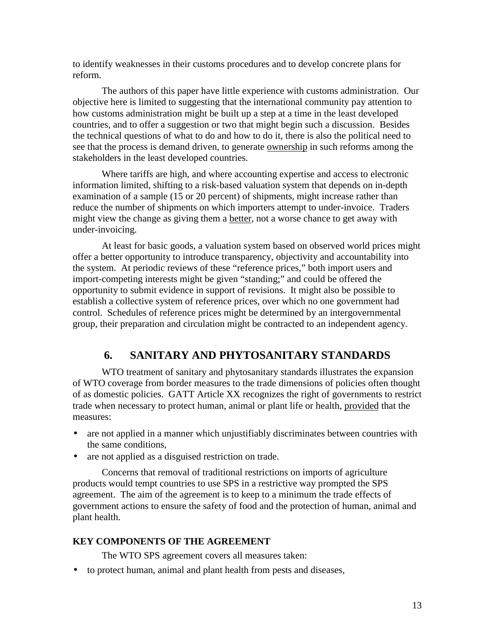to identify weaknesses in their customs procedures and to develop concrete plans for reform.

The authors of this paper have little experience with customs administration. Our objective here is limited to suggesting that the international community pay attention to how customs administration might be built up a step at a time in the least developed countries, and to offer a suggestion or two that might begin such a discussion. Besides the technical questions of what to do and how to do it, there is also the political need to see that the process is demand driven, to generate ownership in such reforms among the stakeholders in the least developed countries.

Where tariffs are high, and where accounting expertise and access to electronic information limited, shifting to a risk-based valuation system that depends on in-depth examination of a sample (15 or 20 percent) of shipments, might increase rather than reduce the number of shipments on which importers attempt to under-invoice. Traders might view the change as giving them a better, not a worse chance to get away with under-invoicing.

At least for basic goods, a valuation system based on observed world prices might offer a better opportunity to introduce transparency, objectivity and accountability into the system. At periodic reviews of these "reference prices," both import users and import-competing interests might be given "standing;" and could be offered the opportunity to submit evidence in support of revisions. It might also be possible to establish a collective system of reference prices, over which no one government had control. Schedules of reference prices might be determined by an intergovernmental group, their preparation and circulation might be contracted to an independent agency.

## **6. SANITARY AND PHYTOSANITARY STANDARDS**

WTO treatment of sanitary and phytosanitary standards illustrates the expansion of WTO coverage from border measures to the trade dimensions of policies often thought of as domestic policies. GATT Article XX recognizes the right of governments to restrict trade when necessary to protect human, animal or plant life or health, provided that the measures:

- are not applied in a manner which unjustifiably discriminates between countries with the same conditions,
- are not applied as a disguised restriction on trade.

Concerns that removal of traditional restrictions on imports of agriculture products would tempt countries to use SPS in a restrictive way prompted the SPS agreement. The aim of the agreement is to keep to a minimum the trade effects of government actions to ensure the safety of food and the protection of human, animal and plant health.

## **KEY COMPONENTS OF THE AGREEMENT**

The WTO SPS agreement covers all measures taken:

• to protect human, animal and plant health from pests and diseases,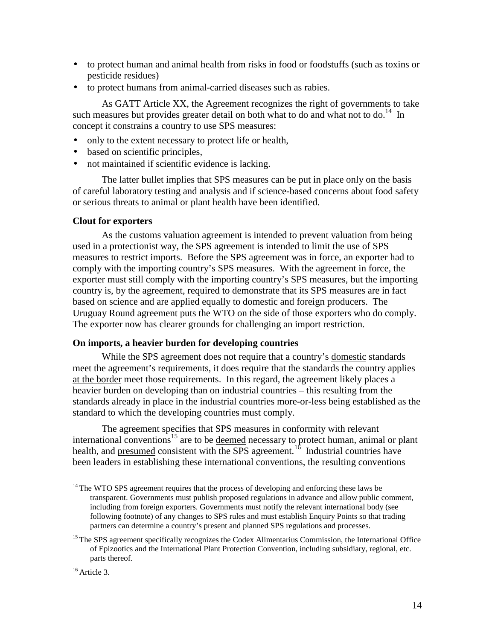- to protect human and animal health from risks in food or foodstuffs (such as toxins or pesticide residues)
- to protect humans from animal-carried diseases such as rabies.

As GATT Article XX, the Agreement recognizes the right of governments to take such measures but provides greater detail on both what to do and what not to do.<sup>14</sup> In concept it constrains a country to use SPS measures:

- only to the extent necessary to protect life or health,
- based on scientific principles,
- not maintained if scientific evidence is lacking.

The latter bullet implies that SPS measures can be put in place only on the basis of careful laboratory testing and analysis and if science-based concerns about food safety or serious threats to animal or plant health have been identified.

### **Clout for exporters**

As the customs valuation agreement is intended to prevent valuation from being used in a protectionist way, the SPS agreement is intended to limit the use of SPS measures to restrict imports. Before the SPS agreement was in force, an exporter had to comply with the importing country's SPS measures. With the agreement in force, the exporter must still comply with the importing country's SPS measures, but the importing country is, by the agreement, required to demonstrate that its SPS measures are in fact based on science and are applied equally to domestic and foreign producers. The Uruguay Round agreement puts the WTO on the side of those exporters who do comply. The exporter now has clearer grounds for challenging an import restriction.

### **On imports, a heavier burden for developing countries**

While the SPS agreement does not require that a country's domestic standards meet the agreement's requirements, it does require that the standards the country applies at the border meet those requirements. In this regard, the agreement likely places a heavier burden on developing than on industrial countries – this resulting from the standards already in place in the industrial countries more-or-less being established as the standard to which the developing countries must comply.

The agreement specifies that SPS measures in conformity with relevant international conventions<sup>15</sup> are to be <u>deemed</u> necessary to protect human, animal or plant health, and presumed consistent with the SPS agreement.<sup>16</sup> Industrial countries have been leaders in establishing these international conventions, the resulting conventions

<u>.</u>

 $14$ <sup>14</sup> The WTO SPS agreement requires that the process of developing and enforcing these laws be transparent. Governments must publish proposed regulations in advance and allow public comment, including from foreign exporters. Governments must notify the relevant international body (see following footnote) of any changes to SPS rules and must establish Enquiry Points so that trading partners can determine a country's present and planned SPS regulations and processes.

<sup>&</sup>lt;sup>15</sup> The SPS agreement specifically recognizes the Codex Alimentarius Commission, the International Office of Epizootics and the International Plant Protection Convention, including subsidiary, regional, etc. parts thereof.

 $16$  Article 3.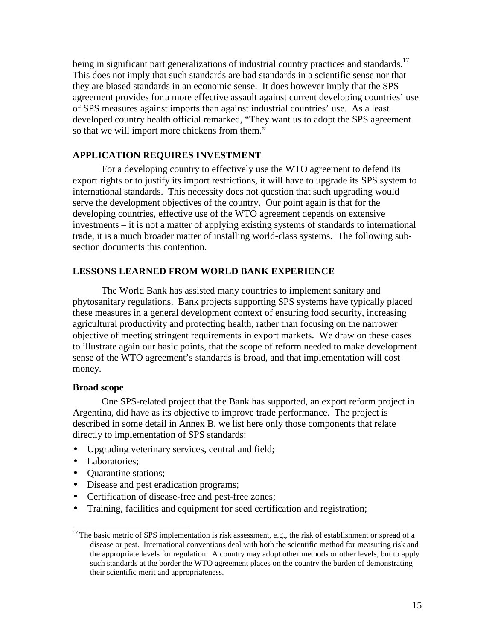being in significant part generalizations of industrial country practices and standards.<sup>17</sup> This does not imply that such standards are bad standards in a scientific sense nor that they are biased standards in an economic sense. It does however imply that the SPS agreement provides for a more effective assault against current developing countries' use of SPS measures against imports than against industrial countries' use. As a least developed country health official remarked, "They want us to adopt the SPS agreement so that we will import more chickens from them."

## **APPLICATION REQUIRES INVESTMENT**

For a developing country to effectively use the WTO agreement to defend its export rights or to justify its import restrictions, it will have to upgrade its SPS system to international standards. This necessity does not question that such upgrading would serve the development objectives of the country. Our point again is that for the developing countries, effective use of the WTO agreement depends on extensive investments – it is not a matter of applying existing systems of standards to international trade, it is a much broader matter of installing world-class systems. The following subsection documents this contention.

## **LESSONS LEARNED FROM WORLD BANK EXPERIENCE**

The World Bank has assisted many countries to implement sanitary and phytosanitary regulations. Bank projects supporting SPS systems have typically placed these measures in a general development context of ensuring food security, increasing agricultural productivity and protecting health, rather than focusing on the narrower objective of meeting stringent requirements in export markets. We draw on these cases to illustrate again our basic points, that the scope of reform needed to make development sense of the WTO agreement's standards is broad, and that implementation will cost money.

## **Broad scope**

One SPS-related project that the Bank has supported, an export reform project in Argentina, did have as its objective to improve trade performance. The project is described in some detail in Annex B, we list here only those components that relate directly to implementation of SPS standards:

- Upgrading veterinary services, central and field;
- Laboratories;

<u>.</u>

- Quarantine stations;
- Disease and pest eradication programs;
- Certification of disease-free and pest-free zones;
- Training, facilities and equipment for seed certification and registration;

 $17$  The basic metric of SPS implementation is risk assessment, e.g., the risk of establishment or spread of a disease or pest. International conventions deal with both the scientific method for measuring risk and the appropriate levels for regulation. A country may adopt other methods or other levels, but to apply such standards at the border the WTO agreement places on the country the burden of demonstrating their scientific merit and appropriateness.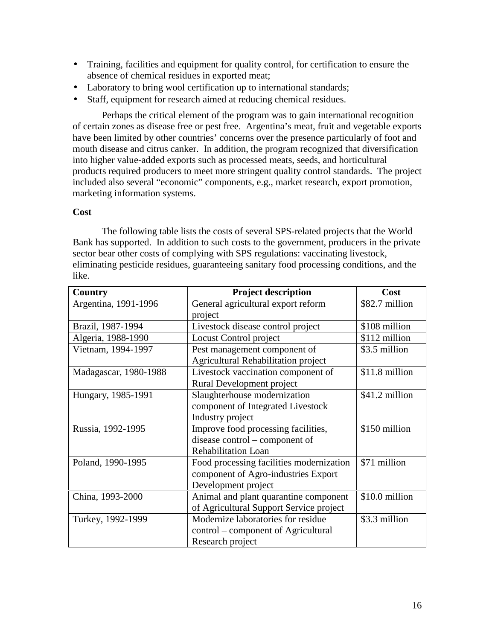- Training, facilities and equipment for quality control, for certification to ensure the absence of chemical residues in exported meat;
- Laboratory to bring wool certification up to international standards;
- Staff, equipment for research aimed at reducing chemical residues.

Perhaps the critical element of the program was to gain international recognition of certain zones as disease free or pest free. Argentina's meat, fruit and vegetable exports have been limited by other countries' concerns over the presence particularly of foot and mouth disease and citrus canker. In addition, the program recognized that diversification into higher value-added exports such as processed meats, seeds, and horticultural products required producers to meet more stringent quality control standards. The project included also several "economic" components, e.g., market research, export promotion, marketing information systems.

## **Cost**

The following table lists the costs of several SPS-related projects that the World Bank has supported. In addition to such costs to the government, producers in the private sector bear other costs of complying with SPS regulations: vaccinating livestock, eliminating pesticide residues, guaranteeing sanitary food processing conditions, and the like.

| <b>Country</b>        | <b>Project description</b>                 | Cost           |
|-----------------------|--------------------------------------------|----------------|
| Argentina, 1991-1996  | General agricultural export reform         | \$82.7 million |
|                       | project                                    |                |
| Brazil, 1987-1994     | Livestock disease control project          | \$108 million  |
| Algeria, 1988-1990    | Locust Control project                     | \$112 million  |
| Vietnam, 1994-1997    | Pest management component of               | \$3.5 million  |
|                       | <b>Agricultural Rehabilitation project</b> |                |
| Madagascar, 1980-1988 | Livestock vaccination component of         | \$11.8 million |
|                       | Rural Development project                  |                |
| Hungary, 1985-1991    | Slaughterhouse modernization               | \$41.2 million |
|                       | component of Integrated Livestock          |                |
|                       | Industry project                           |                |
| Russia, 1992-1995     | Improve food processing facilities,        | \$150 million  |
|                       | disease control – component of             |                |
|                       | <b>Rehabilitation Loan</b>                 |                |
| Poland, 1990-1995     | Food processing facilities modernization   | \$71 million   |
|                       | component of Agro-industries Export        |                |
|                       | Development project                        |                |
| China, 1993-2000      | Animal and plant quarantine component      | \$10.0 million |
|                       | of Agricultural Support Service project    |                |
| Turkey, 1992-1999     | Modernize laboratories for residue         | \$3.3 million  |
|                       | control – component of Agricultural        |                |
|                       | Research project                           |                |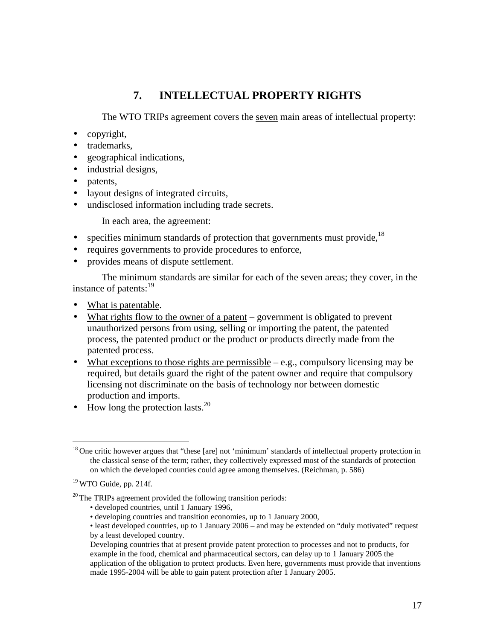## **7. INTELLECTUAL PROPERTY RIGHTS**

The WTO TRIPs agreement covers the seven main areas of intellectual property:

- copyright,
- trademarks,
- geographical indications,
- industrial designs,
- patents,
- layout designs of integrated circuits,
- undisclosed information including trade secrets.

In each area, the agreement:

- specifies minimum standards of protection that governments must provide.<sup>18</sup>
- requires governments to provide procedures to enforce,
- provides means of dispute settlement.

The minimum standards are similar for each of the seven areas; they cover, in the instance of patents:<sup>19</sup>

- What is patentable.
- What rights flow to the owner of a patent government is obligated to prevent unauthorized persons from using, selling or importing the patent, the patented process, the patented product or the product or products directly made from the patented process.
- What exceptions to those rights are permissible  $-e.g.,$  compulsory licensing may be required, but details guard the right of the patent owner and require that compulsory licensing not discriminate on the basis of technology nor between domestic production and imports.
- How long the protection lasts.<sup>20</sup>

- developed countries, until 1 January 1996,
- developing countries and transition economies, up to 1 January 2000,

<sup>&</sup>lt;u>.</u> <sup>18</sup> One critic however argues that "these [are] not 'minimum' standards of intellectual property protection in the classical sense of the term; rather, they collectively expressed most of the standards of protection on which the developed counties could agree among themselves. (Reichman, p. 586)

 $19$  WTO Guide, pp. 214f.

 $20$  The TRIPs agreement provided the following transition periods:

<sup>•</sup> least developed countries, up to 1 January 2006 – and may be extended on "duly motivated" request by a least developed country.

Developing countries that at present provide patent protection to processes and not to products, for example in the food, chemical and pharmaceutical sectors, can delay up to 1 January 2005 the application of the obligation to protect products. Even here, governments must provide that inventions made 1995-2004 will be able to gain patent protection after 1 January 2005.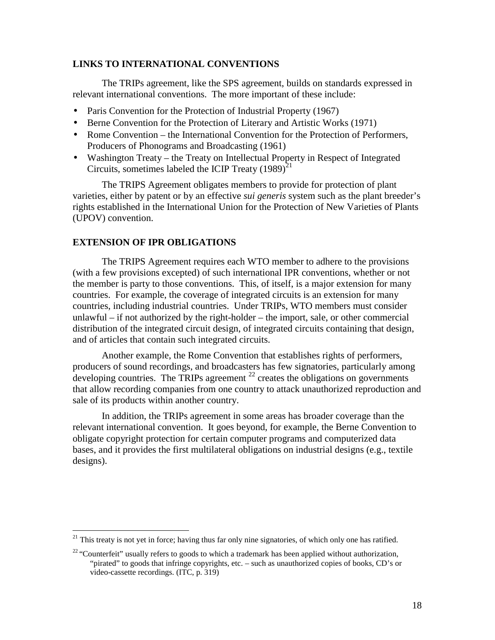### **LINKS TO INTERNATIONAL CONVENTIONS**

The TRIPs agreement, like the SPS agreement, builds on standards expressed in relevant international conventions. The more important of these include:

- Paris Convention for the Protection of Industrial Property (1967)
- Berne Convention for the Protection of Literary and Artistic Works (1971)
- Rome Convention the International Convention for the Protection of Performers, Producers of Phonograms and Broadcasting (1961)
- Washington Treaty the Treaty on Intellectual Property in Respect of Integrated Circuits, sometimes labeled the ICIP Treaty  $(1989)^{21}$

The TRIPS Agreement obligates members to provide for protection of plant varieties, either by patent or by an effective *sui generis* system such as the plant breeder's rights established in the International Union for the Protection of New Varieties of Plants (UPOV) convention.

### **EXTENSION OF IPR OBLIGATIONS**

<u>.</u>

The TRIPS Agreement requires each WTO member to adhere to the provisions (with a few provisions excepted) of such international IPR conventions, whether or not the member is party to those conventions. This, of itself, is a major extension for many countries. For example, the coverage of integrated circuits is an extension for many countries, including industrial countries. Under TRIPs, WTO members must consider unlawful – if not authorized by the right-holder – the import, sale, or other commercial distribution of the integrated circuit design, of integrated circuits containing that design, and of articles that contain such integrated circuits.

Another example, the Rome Convention that establishes rights of performers, producers of sound recordings, and broadcasters has few signatories, particularly among developing countries. The TRIPs agreement  $^{22}$  creates the obligations on governments that allow recording companies from one country to attack unauthorized reproduction and sale of its products within another country.

In addition, the TRIPs agreement in some areas has broader coverage than the relevant international convention. It goes beyond, for example, the Berne Convention to obligate copyright protection for certain computer programs and computerized data bases, and it provides the first multilateral obligations on industrial designs (e.g., textile designs).

 $21$  This treaty is not yet in force; having thus far only nine signatories, of which only one has ratified.

<sup>&</sup>lt;sup>22</sup> "Counterfeit" usually refers to goods to which a trademark has been applied without authorization, "pirated" to goods that infringe copyrights, etc. – such as unauthorized copies of books, CD's or video-cassette recordings. (ITC, p. 319)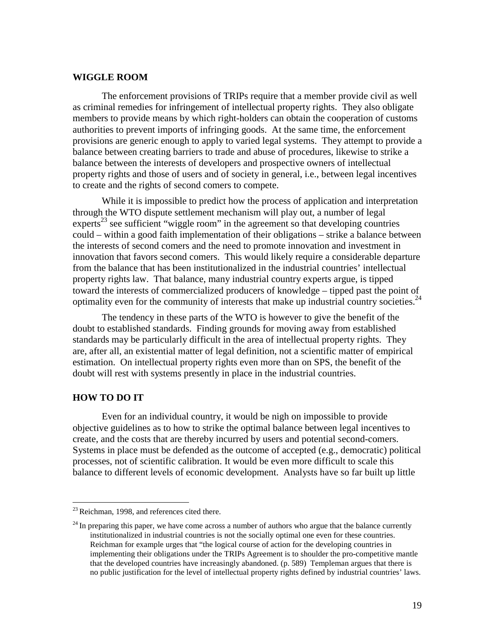### **WIGGLE ROOM**

The enforcement provisions of TRIPs require that a member provide civil as well as criminal remedies for infringement of intellectual property rights. They also obligate members to provide means by which right-holders can obtain the cooperation of customs authorities to prevent imports of infringing goods. At the same time, the enforcement provisions are generic enough to apply to varied legal systems. They attempt to provide a balance between creating barriers to trade and abuse of procedures, likewise to strike a balance between the interests of developers and prospective owners of intellectual property rights and those of users and of society in general, i.e., between legal incentives to create and the rights of second comers to compete.

While it is impossible to predict how the process of application and interpretation through the WTO dispute settlement mechanism will play out, a number of legal experts<sup>23</sup> see sufficient "wiggle room" in the agreement so that developing countries could – within a good faith implementation of their obligations – strike a balance between the interests of second comers and the need to promote innovation and investment in innovation that favors second comers. This would likely require a considerable departure from the balance that has been institutionalized in the industrial countries' intellectual property rights law. That balance, many industrial country experts argue, is tipped toward the interests of commercialized producers of knowledge – tipped past the point of optimality even for the community of interests that make up industrial country societies.<sup>24</sup>

The tendency in these parts of the WTO is however to give the benefit of the doubt to established standards. Finding grounds for moving away from established standards may be particularly difficult in the area of intellectual property rights. They are, after all, an existential matter of legal definition, not a scientific matter of empirical estimation. On intellectual property rights even more than on SPS, the benefit of the doubt will rest with systems presently in place in the industrial countries.

### **HOW TO DO IT**

<u>.</u>

Even for an individual country, it would be nigh on impossible to provide objective guidelines as to how to strike the optimal balance between legal incentives to create, and the costs that are thereby incurred by users and potential second-comers. Systems in place must be defended as the outcome of accepted (e.g., democratic) political processes, not of scientific calibration. It would be even more difficult to scale this balance to different levels of economic development. Analysts have so far built up little

 $23$  Reichman, 1998, and references cited there.

 $^{24}$  In preparing this paper, we have come across a number of authors who argue that the balance currently institutionalized in industrial countries is not the socially optimal one even for these countries. Reichman for example urges that "the logical course of action for the developing countries in implementing their obligations under the TRIPs Agreement is to shoulder the pro-competitive mantle that the developed countries have increasingly abandoned. (p. 589) Templeman argues that there is no public justification for the level of intellectual property rights defined by industrial countries' laws.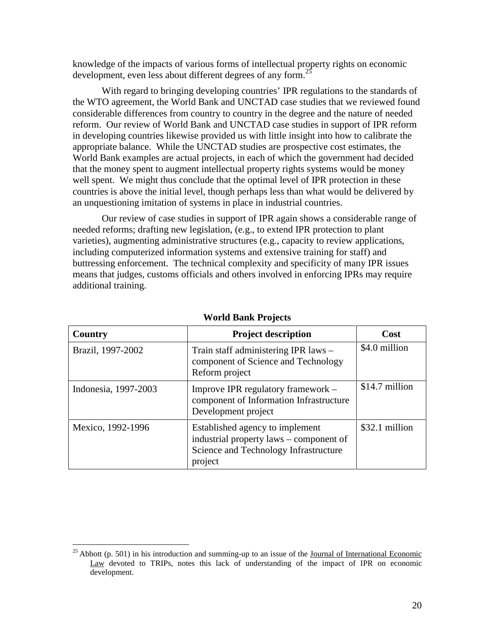knowledge of the impacts of various forms of intellectual property rights on economic development, even less about different degrees of any form.<sup>25</sup>

With regard to bringing developing countries' IPR regulations to the standards of the WTO agreement, the World Bank and UNCTAD case studies that we reviewed found considerable differences from country to country in the degree and the nature of needed reform. Our review of World Bank and UNCTAD case studies in support of IPR reform in developing countries likewise provided us with little insight into how to calibrate the appropriate balance. While the UNCTAD studies are prospective cost estimates, the World Bank examples are actual projects, in each of which the government had decided that the money spent to augment intellectual property rights systems would be money well spent. We might thus conclude that the optimal level of IPR protection in these countries is above the initial level, though perhaps less than what would be delivered by an unquestioning imitation of systems in place in industrial countries.

Our review of case studies in support of IPR again shows a considerable range of needed reforms; drafting new legislation, (e.g., to extend IPR protection to plant varieties), augmenting administrative structures (e.g., capacity to review applications, including computerized information systems and extensive training for staff) and buttressing enforcement. The technical complexity and specificity of many IPR issues means that judges, customs officials and others involved in enforcing IPRs may require additional training.

| Country              | <b>Project description</b>                                                                                                     | Cost           |  |
|----------------------|--------------------------------------------------------------------------------------------------------------------------------|----------------|--|
| Brazil, 1997-2002    | Train staff administering IPR laws –<br>component of Science and Technology<br>Reform project                                  | \$4.0 million  |  |
| Indonesia, 1997-2003 | Improve IPR regulatory framework -<br>component of Information Infrastructure<br>Development project                           | \$14.7 million |  |
| Mexico, 1992-1996    | Established agency to implement<br>industrial property laws – component of<br>Science and Technology Infrastructure<br>project | \$32.1 million |  |

### **World Bank Projects**

<u>.</u>

 $25$  Abbott (p. 501) in his introduction and summing-up to an issue of the Journal of International Economic Law devoted to TRIPs, notes this lack of understanding of the impact of IPR on economic development.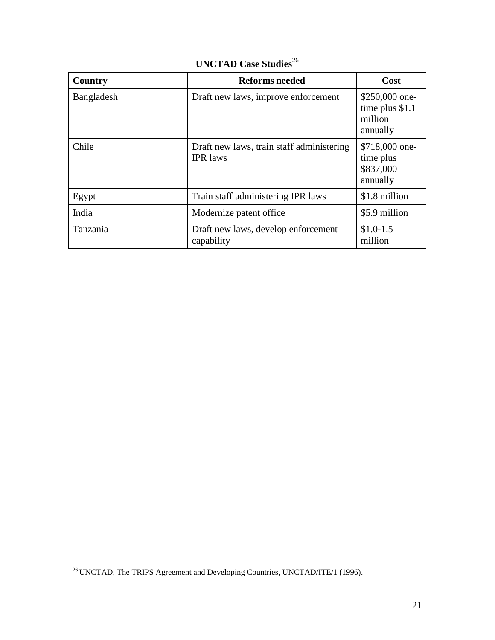| Country    | <b>Reforms needed</b>                                        | Cost                                                      |
|------------|--------------------------------------------------------------|-----------------------------------------------------------|
| Bangladesh | Draft new laws, improve enforcement                          | $$250,000$ one-<br>time plus \$1.1<br>million<br>annually |
| Chile      | Draft new laws, train staff administering<br><b>IPR</b> laws | \$718,000 one-<br>time plus<br>\$837,000<br>annually      |
| Egypt      | Train staff administering IPR laws                           | \$1.8 million                                             |
| India      | Modernize patent office                                      | \$5.9 million                                             |
| Tanzania   | Draft new laws, develop enforcement<br>capability            | $$1.0-1.5$<br>million                                     |

# **UNCTAD Case Studies**<sup>26</sup>

<sup>&</sup>lt;u>.</u>  $^{26}$  UNCTAD, The TRIPS Agreement and Developing Countries, UNCTAD/ITE/1 (1996).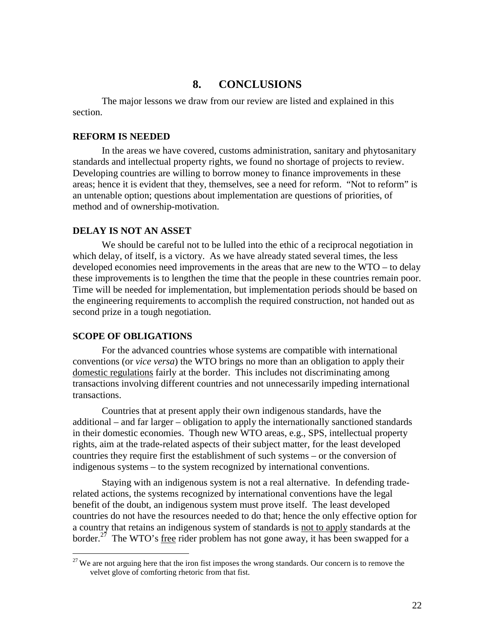## **8. CONCLUSIONS**

The major lessons we draw from our review are listed and explained in this section.

#### **REFORM IS NEEDED**

In the areas we have covered, customs administration, sanitary and phytosanitary standards and intellectual property rights, we found no shortage of projects to review. Developing countries are willing to borrow money to finance improvements in these areas; hence it is evident that they, themselves, see a need for reform. "Not to reform" is an untenable option; questions about implementation are questions of priorities, of method and of ownership-motivation.

### **DELAY IS NOT AN ASSET**

We should be careful not to be lulled into the ethic of a reciprocal negotiation in which delay, of itself, is a victory. As we have already stated several times, the less developed economies need improvements in the areas that are new to the WTO – to delay these improvements is to lengthen the time that the people in these countries remain poor. Time will be needed for implementation, but implementation periods should be based on the engineering requirements to accomplish the required construction, not handed out as second prize in a tough negotiation.

#### **SCOPE OF OBLIGATIONS**

-

For the advanced countries whose systems are compatible with international conventions (or *vice versa*) the WTO brings no more than an obligation to apply their domestic regulations fairly at the border. This includes not discriminating among transactions involving different countries and not unnecessarily impeding international transactions.

Countries that at present apply their own indigenous standards, have the additional – and far larger – obligation to apply the internationally sanctioned standards in their domestic economies. Though new WTO areas, e.g., SPS, intellectual property rights, aim at the trade-related aspects of their subject matter, for the least developed countries they require first the establishment of such systems – or the conversion of indigenous systems – to the system recognized by international conventions.

Staying with an indigenous system is not a real alternative. In defending traderelated actions, the systems recognized by international conventions have the legal benefit of the doubt, an indigenous system must prove itself. The least developed countries do not have the resources needed to do that; hence the only effective option for a country that retains an indigenous system of standards is not to apply standards at the border.<sup>27</sup> The WTO's free rider problem has not gone away, it has been swapped for a

 $27$  We are not arguing here that the iron fist imposes the wrong standards. Our concern is to remove the velvet glove of comforting rhetoric from that fist.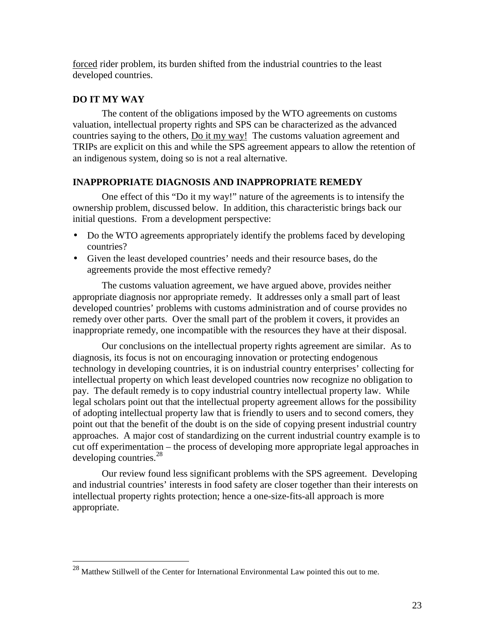forced rider problem, its burden shifted from the industrial countries to the least developed countries.

## **DO IT MY WAY**

<u>.</u>

The content of the obligations imposed by the WTO agreements on customs valuation, intellectual property rights and SPS can be characterized as the advanced countries saying to the others, Do it my way! The customs valuation agreement and TRIPs are explicit on this and while the SPS agreement appears to allow the retention of an indigenous system, doing so is not a real alternative.

## **INAPPROPRIATE DIAGNOSIS AND INAPPROPRIATE REMEDY**

One effect of this "Do it my way!" nature of the agreements is to intensify the ownership problem, discussed below. In addition, this characteristic brings back our initial questions. From a development perspective:

- Do the WTO agreements appropriately identify the problems faced by developing countries?
- Given the least developed countries' needs and their resource bases, do the agreements provide the most effective remedy?

The customs valuation agreement, we have argued above, provides neither appropriate diagnosis nor appropriate remedy. It addresses only a small part of least developed countries' problems with customs administration and of course provides no remedy over other parts. Over the small part of the problem it covers, it provides an inappropriate remedy, one incompatible with the resources they have at their disposal.

Our conclusions on the intellectual property rights agreement are similar. As to diagnosis, its focus is not on encouraging innovation or protecting endogenous technology in developing countries, it is on industrial country enterprises' collecting for intellectual property on which least developed countries now recognize no obligation to pay. The default remedy is to copy industrial country intellectual property law. While legal scholars point out that the intellectual property agreement allows for the possibility of adopting intellectual property law that is friendly to users and to second comers, they point out that the benefit of the doubt is on the side of copying present industrial country approaches. A major cost of standardizing on the current industrial country example is to cut off experimentation – the process of developing more appropriate legal approaches in developing countries.<sup>28</sup>

Our review found less significant problems with the SPS agreement. Developing and industrial countries' interests in food safety are closer together than their interests on intellectual property rights protection; hence a one-size-fits-all approach is more appropriate.

 $^{28}$  Matthew Stillwell of the Center for International Environmental Law pointed this out to me.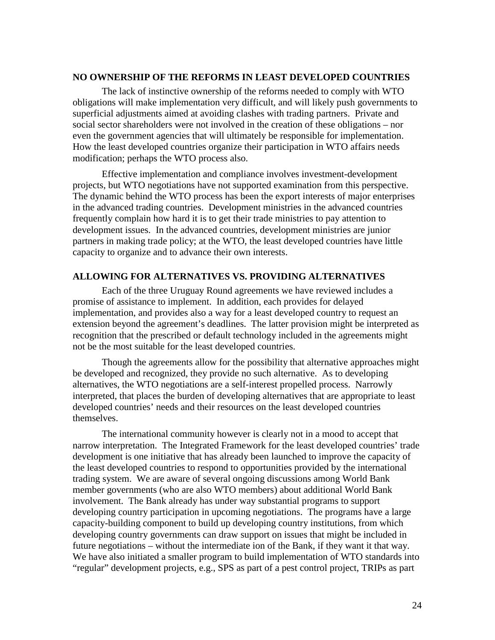### **NO OWNERSHIP OF THE REFORMS IN LEAST DEVELOPED COUNTRIES**

The lack of instinctive ownership of the reforms needed to comply with WTO obligations will make implementation very difficult, and will likely push governments to superficial adjustments aimed at avoiding clashes with trading partners. Private and social sector shareholders were not involved in the creation of these obligations – nor even the government agencies that will ultimately be responsible for implementation. How the least developed countries organize their participation in WTO affairs needs modification; perhaps the WTO process also.

Effective implementation and compliance involves investment-development projects, but WTO negotiations have not supported examination from this perspective. The dynamic behind the WTO process has been the export interests of major enterprises in the advanced trading countries. Development ministries in the advanced countries frequently complain how hard it is to get their trade ministries to pay attention to development issues. In the advanced countries, development ministries are junior partners in making trade policy; at the WTO, the least developed countries have little capacity to organize and to advance their own interests.

### **ALLOWING FOR ALTERNATIVES VS. PROVIDING ALTERNATIVES**

Each of the three Uruguay Round agreements we have reviewed includes a promise of assistance to implement. In addition, each provides for delayed implementation, and provides also a way for a least developed country to request an extension beyond the agreement's deadlines. The latter provision might be interpreted as recognition that the prescribed or default technology included in the agreements might not be the most suitable for the least developed countries.

Though the agreements allow for the possibility that alternative approaches might be developed and recognized, they provide no such alternative. As to developing alternatives, the WTO negotiations are a self-interest propelled process. Narrowly interpreted, that places the burden of developing alternatives that are appropriate to least developed countries' needs and their resources on the least developed countries themselves.

The international community however is clearly not in a mood to accept that narrow interpretation. The Integrated Framework for the least developed countries' trade development is one initiative that has already been launched to improve the capacity of the least developed countries to respond to opportunities provided by the international trading system. We are aware of several ongoing discussions among World Bank member governments (who are also WTO members) about additional World Bank involvement. The Bank already has under way substantial programs to support developing country participation in upcoming negotiations. The programs have a large capacity-building component to build up developing country institutions, from which developing country governments can draw support on issues that might be included in future negotiations – without the intermediate ion of the Bank, if they want it that way. We have also initiated a smaller program to build implementation of WTO standards into "regular" development projects, e.g., SPS as part of a pest control project, TRIPs as part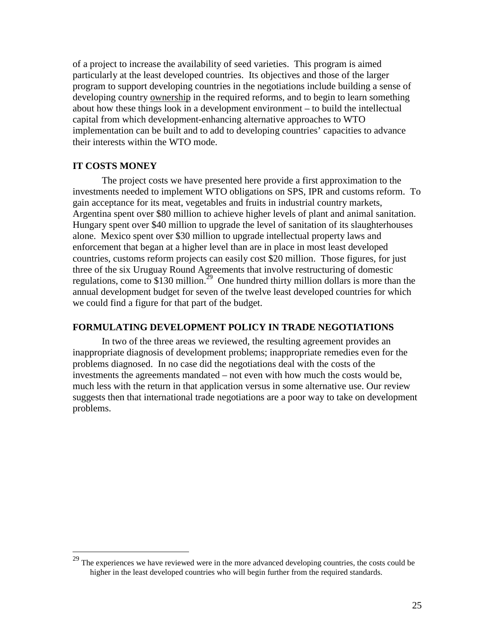of a project to increase the availability of seed varieties. This program is aimed particularly at the least developed countries. Its objectives and those of the larger program to support developing countries in the negotiations include building a sense of developing country ownership in the required reforms, and to begin to learn something about how these things look in a development environment – to build the intellectual capital from which development-enhancing alternative approaches to WTO implementation can be built and to add to developing countries' capacities to advance their interests within the WTO mode.

## **IT COSTS MONEY**

-

The project costs we have presented here provide a first approximation to the investments needed to implement WTO obligations on SPS, IPR and customs reform. To gain acceptance for its meat, vegetables and fruits in industrial country markets, Argentina spent over \$80 million to achieve higher levels of plant and animal sanitation. Hungary spent over \$40 million to upgrade the level of sanitation of its slaughterhouses alone. Mexico spent over \$30 million to upgrade intellectual property laws and enforcement that began at a higher level than are in place in most least developed countries, customs reform projects can easily cost \$20 million. Those figures, for just three of the six Uruguay Round Agreements that involve restructuring of domestic regulations, come to \$130 million.<sup>29</sup> One hundred thirty million dollars is more than the annual development budget for seven of the twelve least developed countries for which we could find a figure for that part of the budget.

#### **FORMULATING DEVELOPMENT POLICY IN TRADE NEGOTIATIONS**

In two of the three areas we reviewed, the resulting agreement provides an inappropriate diagnosis of development problems; inappropriate remedies even for the problems diagnosed. In no case did the negotiations deal with the costs of the investments the agreements mandated – not even with how much the costs would be, much less with the return in that application versus in some alternative use. Our review suggests then that international trade negotiations are a poor way to take on development problems.

 $29$  The experiences we have reviewed were in the more advanced developing countries, the costs could be higher in the least developed countries who will begin further from the required standards.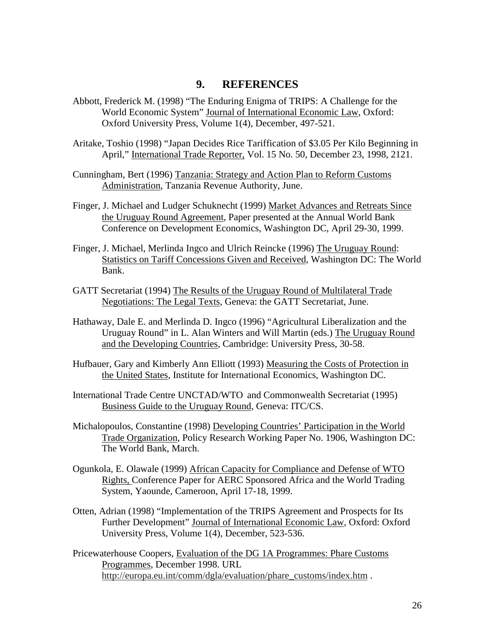## **9. REFERENCES**

- Abbott, Frederick M. (1998) "The Enduring Enigma of TRIPS: A Challenge for the World Economic System" Journal of International Economic Law, Oxford: Oxford University Press, Volume 1(4), December, 497-521.
- Aritake, Toshio (1998) "Japan Decides Rice Tariffication of \$3.05 Per Kilo Beginning in April," International Trade Reporter, Vol. 15 No. 50, December 23, 1998, 2121.
- Cunningham, Bert (1996) Tanzania: Strategy and Action Plan to Reform Customs Administration, Tanzania Revenue Authority, June.
- Finger, J. Michael and Ludger Schuknecht (1999) Market Advances and Retreats Since the Uruguay Round Agreement, Paper presented at the Annual World Bank Conference on Development Economics, Washington DC, April 29-30, 1999.
- Finger, J. Michael, Merlinda Ingco and Ulrich Reincke (1996) The Uruguay Round: Statistics on Tariff Concessions Given and Received, Washington DC: The World Bank.
- GATT Secretariat (1994) The Results of the Uruguay Round of Multilateral Trade Negotiations: The Legal Texts, Geneva: the GATT Secretariat, June.
- Hathaway, Dale E. and Merlinda D. Ingco (1996) "Agricultural Liberalization and the Uruguay Round" in L. Alan Winters and Will Martin (eds.) The Uruguay Round and the Developing Countries, Cambridge: University Press, 30-58.
- Hufbauer, Gary and Kimberly Ann Elliott (1993) Measuring the Costs of Protection in the United States, Institute for International Economics, Washington DC.
- International Trade Centre UNCTAD/WTO and Commonwealth Secretariat (1995) Business Guide to the Uruguay Round, Geneva: ITC/CS.
- Michalopoulos, Constantine (1998) Developing Countries' Participation in the World Trade Organization, Policy Research Working Paper No. 1906, Washington DC: The World Bank, March.
- Ogunkola, E. Olawale (1999) African Capacity for Compliance and Defense of WTO Rights, Conference Paper for AERC Sponsored Africa and the World Trading System, Yaounde, Cameroon, April 17-18, 1999.
- Otten, Adrian (1998) "Implementation of the TRIPS Agreement and Prospects for Its Further Development" Journal of International Economic Law, Oxford: Oxford University Press, Volume 1(4), December, 523-536.
- Pricewaterhouse Coopers, Evaluation of the DG 1A Programmes: Phare Customs Programmes, December 1998. URL http://europa.eu.int/comm/dgla/evaluation/phare\_customs/index.htm .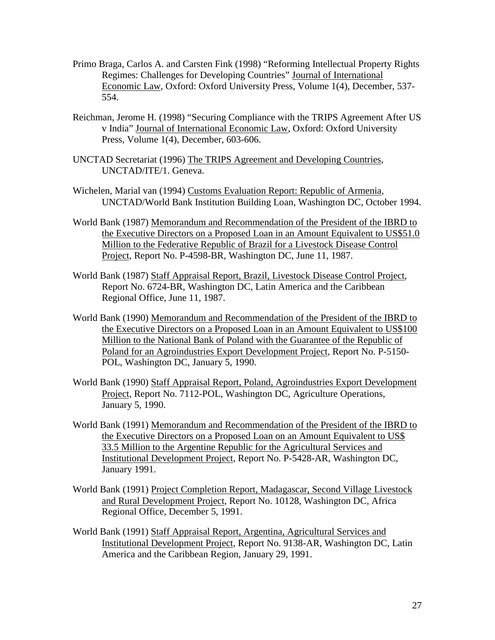- Primo Braga, Carlos A. and Carsten Fink (1998) "Reforming Intellectual Property Rights Regimes: Challenges for Developing Countries" Journal of International Economic Law, Oxford: Oxford University Press, Volume 1(4), December, 537- 554.
- Reichman, Jerome H. (1998) "Securing Compliance with the TRIPS Agreement After US v India" Journal of International Economic Law, Oxford: Oxford University Press, Volume 1(4), December, 603-606.
- UNCTAD Secretariat (1996) The TRIPS Agreement and Developing Countries, UNCTAD/ITE/1. Geneva.
- Wichelen, Marial van (1994) Customs Evaluation Report: Republic of Armenia, UNCTAD/World Bank Institution Building Loan, Washington DC, October 1994.
- World Bank (1987) Memorandum and Recommendation of the President of the IBRD to the Executive Directors on a Proposed Loan in an Amount Equivalent to US\$51.0 Million to the Federative Republic of Brazil for a Livestock Disease Control Project, Report No. P-4598-BR, Washington DC, June 11, 1987.
- World Bank (1987) Staff Appraisal Report, Brazil, Livestock Disease Control Project, Report No. 6724-BR, Washington DC, Latin America and the Caribbean Regional Office, June 11, 1987.
- World Bank (1990) Memorandum and Recommendation of the President of the IBRD to the Executive Directors on a Proposed Loan in an Amount Equivalent to US\$100 Million to the National Bank of Poland with the Guarantee of the Republic of Poland for an Agroindustries Export Development Project, Report No. P-5150- POL, Washington DC, January 5, 1990.
- World Bank (1990) Staff Appraisal Report, Poland, Agroindustries Export Development Project, Report No. 7112-POL, Washington DC, Agriculture Operations, January 5, 1990.
- World Bank (1991) Memorandum and Recommendation of the President of the IBRD to the Executive Directors on a Proposed Loan on an Amount Equivalent to US\$ 33.5 Million to the Argentine Republic for the Agricultural Services and Institutional Development Project, Report No. P-5428-AR, Washington DC, January 1991.
- World Bank (1991) Project Completion Report, Madagascar, Second Village Livestock and Rural Development Project, Report No. 10128, Washington DC, Africa Regional Office, December 5, 1991.
- World Bank (1991) Staff Appraisal Report, Argentina, Agricultural Services and Institutional Development Project, Report No. 9138-AR, Washington DC, Latin America and the Caribbean Region, January 29, 1991.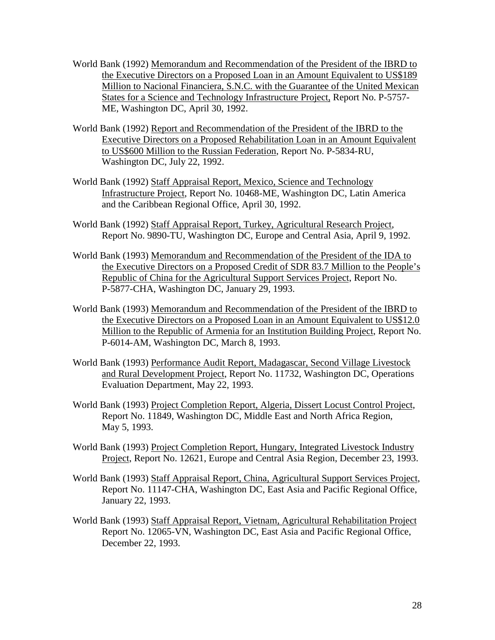- World Bank (1992) Memorandum and Recommendation of the President of the IBRD to the Executive Directors on a Proposed Loan in an Amount Equivalent to US\$189 Million to Nacional Financiera, S.N.C. with the Guarantee of the United Mexican States for a Science and Technology Infrastructure Project, Report No. P-5757- ME, Washington DC, April 30, 1992.
- World Bank (1992) Report and Recommendation of the President of the IBRD to the Executive Directors on a Proposed Rehabilitation Loan in an Amount Equivalent to US\$600 Million to the Russian Federation, Report No. P-5834-RU, Washington DC, July 22, 1992.
- World Bank (1992) Staff Appraisal Report, Mexico, Science and Technology Infrastructure Project, Report No. 10468-ME, Washington DC, Latin America and the Caribbean Regional Office, April 30, 1992.
- World Bank (1992) Staff Appraisal Report, Turkey, Agricultural Research Project, Report No. 9890-TU, Washington DC, Europe and Central Asia, April 9, 1992.
- World Bank (1993) Memorandum and Recommendation of the President of the IDA to the Executive Directors on a Proposed Credit of SDR 83.7 Million to the People's Republic of China for the Agricultural Support Services Project, Report No. P-5877-CHA, Washington DC, January 29, 1993.
- World Bank (1993) Memorandum and Recommendation of the President of the IBRD to the Executive Directors on a Proposed Loan in an Amount Equivalent to US\$12.0 Million to the Republic of Armenia for an Institution Building Project, Report No. P-6014-AM, Washington DC, March 8, 1993.
- World Bank (1993) Performance Audit Report, Madagascar, Second Village Livestock and Rural Development Project, Report No. 11732, Washington DC, Operations Evaluation Department, May 22, 1993.
- World Bank (1993) Project Completion Report, Algeria, Dissert Locust Control Project, Report No. 11849, Washington DC, Middle East and North Africa Region, May 5, 1993.
- World Bank (1993) Project Completion Report, Hungary, Integrated Livestock Industry Project, Report No. 12621, Europe and Central Asia Region, December 23, 1993.
- World Bank (1993) Staff Appraisal Report, China, Agricultural Support Services Project, Report No. 11147-CHA, Washington DC, East Asia and Pacific Regional Office, January 22, 1993.
- World Bank (1993) Staff Appraisal Report, Vietnam, Agricultural Rehabilitation Project Report No. 12065-VN, Washington DC, East Asia and Pacific Regional Office, December 22, 1993.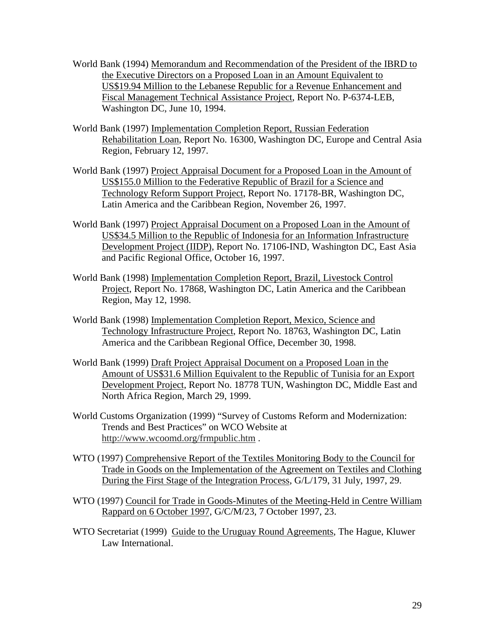- World Bank (1994) Memorandum and Recommendation of the President of the IBRD to the Executive Directors on a Proposed Loan in an Amount Equivalent to US\$19.94 Million to the Lebanese Republic for a Revenue Enhancement and Fiscal Management Technical Assistance Project, Report No. P-6374-LEB, Washington DC, June 10, 1994.
- World Bank (1997) Implementation Completion Report, Russian Federation Rehabilitation Loan, Report No. 16300, Washington DC, Europe and Central Asia Region, February 12, 1997.
- World Bank (1997) Project Appraisal Document for a Proposed Loan in the Amount of US\$155.0 Million to the Federative Republic of Brazil for a Science and Technology Reform Support Project, Report No. 17178-BR, Washington DC, Latin America and the Caribbean Region, November 26, 1997.
- World Bank (1997) Project Appraisal Document on a Proposed Loan in the Amount of US\$34.5 Million to the Republic of Indonesia for an Information Infrastructure Development Project (IIDP), Report No. 17106-IND, Washington DC, East Asia and Pacific Regional Office, October 16, 1997.
- World Bank (1998) Implementation Completion Report, Brazil, Livestock Control Project, Report No. 17868, Washington DC, Latin America and the Caribbean Region, May 12, 1998.
- World Bank (1998) Implementation Completion Report, Mexico, Science and Technology Infrastructure Project, Report No. 18763, Washington DC, Latin America and the Caribbean Regional Office, December 30, 1998.
- World Bank (1999) Draft Project Appraisal Document on a Proposed Loan in the Amount of US\$31.6 Million Equivalent to the Republic of Tunisia for an Export Development Project, Report No. 18778 TUN, Washington DC, Middle East and North Africa Region, March 29, 1999.
- World Customs Organization (1999) "Survey of Customs Reform and Modernization: Trends and Best Practices" on WCO Website at http://www.wcoomd.org/frmpublic.htm .
- WTO (1997) Comprehensive Report of the Textiles Monitoring Body to the Council for Trade in Goods on the Implementation of the Agreement on Textiles and Clothing During the First Stage of the Integration Process, G/L/179, 31 July, 1997, 29.
- WTO (1997) Council for Trade in Goods-Minutes of the Meeting-Held in Centre William Rappard on 6 October 1997, G/C/M/23, 7 October 1997, 23.
- WTO Secretariat (1999) Guide to the Uruguay Round Agreements, The Hague, Kluwer Law International.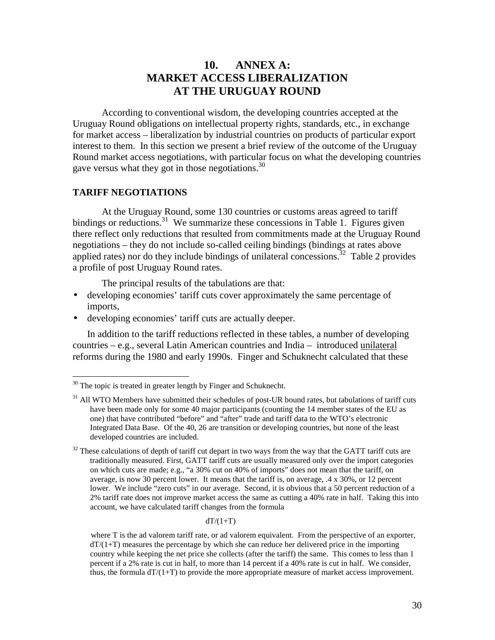## **10. ANNEX A: MARKET ACCESS LIBERALIZATION AT THE URUGUAY ROUND**

According to conventional wisdom, the developing countries accepted at the Uruguay Round obligations on intellectual property rights, standards, etc., in exchange for market access – liberalization by industrial countries on products of particular export interest to them. In this section we present a brief review of the outcome of the Uruguay Round market access negotiations, with particular focus on what the developing countries gave versus what they got in those negotiations.  $30$ 

### **TARIFF NEGOTIATIONS**

<u>.</u>

At the Uruguay Round, some 130 countries or customs areas agreed to tariff bindings or reductions.<sup>31</sup> We summarize these concessions in Table 1. Figures given there reflect only reductions that resulted from commitments made at the Uruguay Round negotiations – they do not include so-called ceiling bindings (bindings at rates above applied rates) nor do they include bindings of unilateral concessions.<sup>32</sup> Table 2 provides a profile of post Uruguay Round rates.

The principal results of the tabulations are that:

- developing economies' tariff cuts cover approximately the same percentage of imports,
- developing economies' tariff cuts are actually deeper.

In addition to the tariff reductions reflected in these tables, a number of developing countries – e.g., several Latin American countries and India – introduced unilateral reforms during the 1980 and early 1990s. Finger and Schuknecht calculated that these

#### $dT/(1+T)$

where T is the ad valorem tariff rate, or ad valorem equivalent. From the perspective of an exporter,  $dT/(1+T)$  measures the percentage by which she can reduce her delivered price in the importing country while keeping the net price she collects (after the tariff) the same. This comes to less than 1 percent if a 2% rate is cut in half, to more than 14 percent if a 40% rate is cut in half. We consider, thus, the formula  $dT/(1+T)$  to provide the more appropriate measure of market access improvement.

 $30$  The topic is treated in greater length by Finger and Schuknecht.

<sup>&</sup>lt;sup>31</sup> All WTO Members have submitted their schedules of post-UR bound rates, but tabulations of tariff cuts have been made only for some 40 major participants (counting the 14 member states of the EU as one) that have contributed "before" and "after" trade and tariff data to the WTO's electronic Integrated Data Base. Of the 40, 26 are transition or developing countries, but none of the least developed countries are included.

 $32$  These calculations of depth of tariff cut depart in two ways from the way that the GATT tariff cuts are traditionally measured. First, GATT tariff cuts are usually measured only over the import categories on which cuts are made; e.g., "a 30% cut on 40% of imports" does not mean that the tariff, on average, is now 30 percent lower. It means that the tariff is, on average, .4 x 30%, or 12 percent lower. We include "zero cuts" in our average. Second, it is obvious that a 50 percent reduction of a 2% tariff rate does not improve market access the same as cutting a 40% rate in half. Taking this into account, we have calculated tariff changes from the formula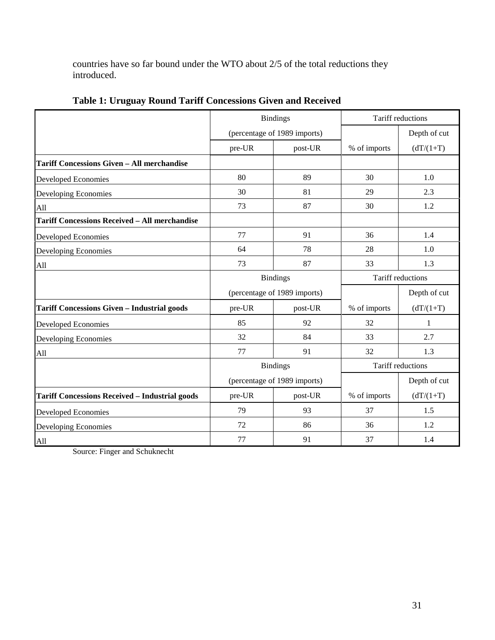countries have so far bound under the WTO about 2/5 of the total reductions they introduced.

|                                                       | <b>Bindings</b>              |                              | Tariff reductions        |              |
|-------------------------------------------------------|------------------------------|------------------------------|--------------------------|--------------|
|                                                       | (percentage of 1989 imports) |                              |                          | Depth of cut |
|                                                       | pre-UR                       | post-UR                      | % of imports             | $(dT/(1+T))$ |
| <b>Tariff Concessions Given - All merchandise</b>     |                              |                              |                          |              |
| <b>Developed Economies</b>                            | 80                           | 89                           | 30                       | 1.0          |
| Developing Economies                                  | 30                           | 81                           | 29                       | 2.3          |
| All                                                   | 73                           | 87                           | 30                       | 1.2          |
| <b>Tariff Concessions Received - All merchandise</b>  |                              |                              |                          |              |
| <b>Developed Economies</b>                            | 77                           | 91                           | 36                       | 1.4          |
| Developing Economies                                  | 64                           | 78                           | 28                       | 1.0          |
| All                                                   | 73                           | 87                           | 33                       | 1.3          |
|                                                       | <b>Bindings</b>              |                              | <b>Tariff reductions</b> |              |
|                                                       |                              | (percentage of 1989 imports) |                          | Depth of cut |
| <b>Tariff Concessions Given - Industrial goods</b>    | pre-UR                       | post-UR                      | % of imports             | $(dT/(1+T))$ |
| Developed Economies                                   | 85                           | 92                           | 32                       | 1            |
| Developing Economies                                  | 32                           | 84                           | 33                       | 2.7          |
| All                                                   | 77                           | 91                           | 32                       | 1.3          |
|                                                       |                              | <b>Bindings</b>              | Tariff reductions        |              |
|                                                       |                              | (percentage of 1989 imports) |                          | Depth of cut |
| <b>Tariff Concessions Received - Industrial goods</b> | pre-UR                       | post-UR                      | % of imports             | $(dT/(1+T))$ |
| <b>Developed Economies</b>                            | 79                           | 93                           | 37                       | 1.5          |
| Developing Economies                                  | 72                           | 86                           | 36                       | 1.2          |
| All                                                   | 77                           | 91                           | 37                       | 1.4          |

**Table 1: Uruguay Round Tariff Concessions Given and Received**

Source: Finger and Schuknecht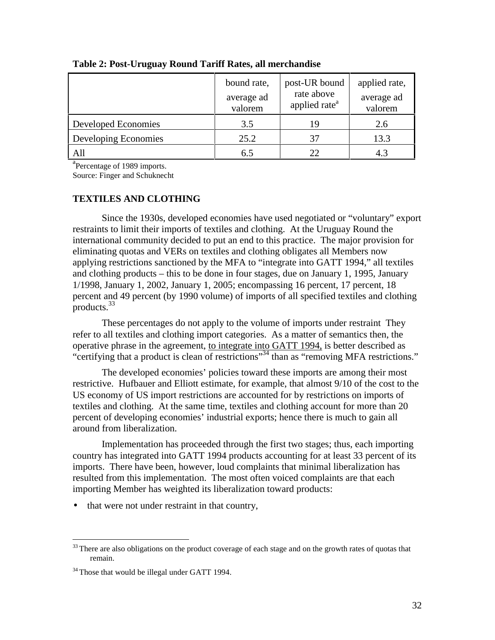|                            | bound rate,<br>average ad<br>valorem | post-UR bound<br>rate above<br>applied rate <sup>a</sup> | applied rate,<br>average ad<br>valorem |
|----------------------------|--------------------------------------|----------------------------------------------------------|----------------------------------------|
| <b>Developed Economies</b> | 3.5                                  | 19                                                       | 2.6                                    |
| Developing Economies       | 25.2                                 | 37                                                       | 13.3                                   |
| All                        | 6.5                                  |                                                          |                                        |

#### **Table 2: Post-Uruguay Round Tariff Rates, all merchandise**

<sup>a</sup>Percentage of 1989 imports.

Source: Finger and Schuknecht

## **TEXTILES AND CLOTHING**

Since the 1930s, developed economies have used negotiated or "voluntary" export restraints to limit their imports of textiles and clothing. At the Uruguay Round the international community decided to put an end to this practice. The major provision for eliminating quotas and VERs on textiles and clothing obligates all Members now applying restrictions sanctioned by the MFA to "integrate into GATT 1994," all textiles and clothing products – this to be done in four stages, due on January 1, 1995, January 1/1998, January 1, 2002, January 1, 2005; encompassing 16 percent, 17 percent, 18 percent and 49 percent (by 1990 volume) of imports of all specified textiles and clothing products.<sup>33</sup>

These percentages do not apply to the volume of imports under restraint They refer to all textiles and clothing import categories. As a matter of semantics then, the operative phrase in the agreement, to integrate into GATT 1994, is better described as "certifying that a product is clean of restrictions"34 than as "removing MFA restrictions."

The developed economies' policies toward these imports are among their most restrictive. Hufbauer and Elliott estimate, for example, that almost 9/10 of the cost to the US economy of US import restrictions are accounted for by restrictions on imports of textiles and clothing. At the same time, textiles and clothing account for more than 20 percent of developing economies' industrial exports; hence there is much to gain all around from liberalization.

Implementation has proceeded through the first two stages; thus, each importing country has integrated into GATT 1994 products accounting for at least 33 percent of its imports. There have been, however, loud complaints that minimal liberalization has resulted from this implementation. The most often voiced complaints are that each importing Member has weighted its liberalization toward products:

• that were not under restraint in that country,

<u>.</u>

<sup>&</sup>lt;sup>33</sup> There are also obligations on the product coverage of each stage and on the growth rates of quotas that remain.

 $34$  Those that would be illegal under GATT 1994.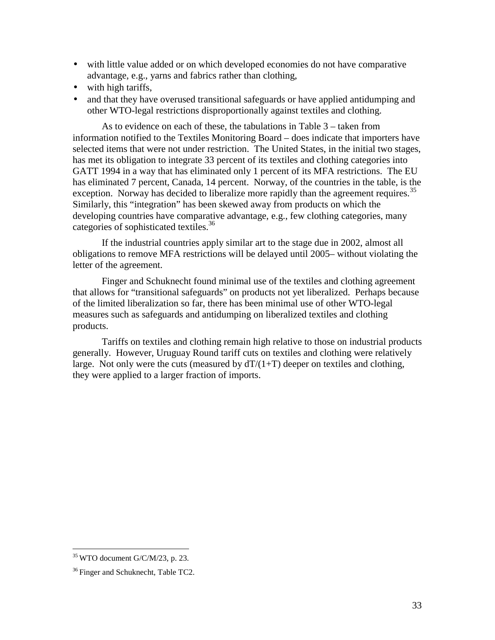- with little value added or on which developed economies do not have comparative advantage, e.g., yarns and fabrics rather than clothing,
- with high tariffs,
- and that they have overused transitional safeguards or have applied antidumping and other WTO-legal restrictions disproportionally against textiles and clothing.

As to evidence on each of these, the tabulations in Table 3 – taken from information notified to the Textiles Monitoring Board – does indicate that importers have selected items that were not under restriction. The United States, in the initial two stages, has met its obligation to integrate 33 percent of its textiles and clothing categories into GATT 1994 in a way that has eliminated only 1 percent of its MFA restrictions. The EU has eliminated 7 percent, Canada, 14 percent. Norway, of the countries in the table, is the exception. Norway has decided to liberalize more rapidly than the agreement requires.<sup>35</sup> Similarly, this "integration" has been skewed away from products on which the developing countries have comparative advantage, e.g., few clothing categories, many categories of sophisticated textiles.<sup>36</sup>

If the industrial countries apply similar art to the stage due in 2002, almost all obligations to remove MFA restrictions will be delayed until 2005– without violating the letter of the agreement.

Finger and Schuknecht found minimal use of the textiles and clothing agreement that allows for "transitional safeguards" on products not yet liberalized. Perhaps because of the limited liberalization so far, there has been minimal use of other WTO-legal measures such as safeguards and antidumping on liberalized textiles and clothing products.

Tariffs on textiles and clothing remain high relative to those on industrial products generally. However, Uruguay Round tariff cuts on textiles and clothing were relatively large. Not only were the cuts (measured by  $dT/(1+T)$  deeper on textiles and clothing, they were applied to a larger fraction of imports.

-

 $35$  WTO document G/C/M/23, p. 23.

<sup>&</sup>lt;sup>36</sup> Finger and Schuknecht, Table TC2.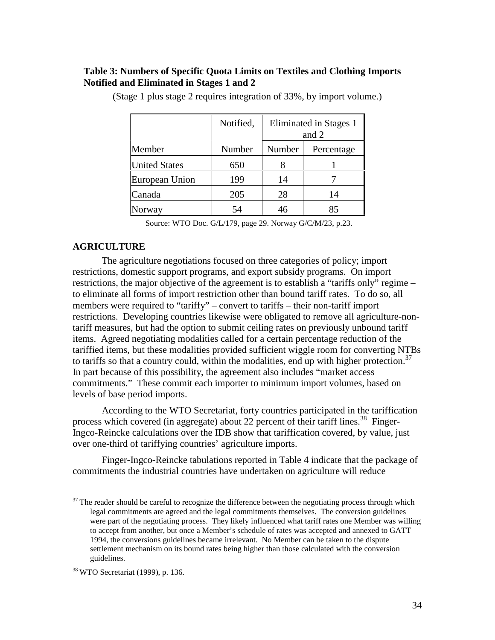## **Table 3: Numbers of Specific Quota Limits on Textiles and Clothing Imports Notified and Eliminated in Stages 1 and 2**

|                      | Notified, | Eliminated in Stages 1<br>and 2 |            |
|----------------------|-----------|---------------------------------|------------|
| Member               | Number    | Number                          | Percentage |
| <b>United States</b> | 650       | 8                               |            |
| European Union       | 199       | 14                              |            |
| Canada               | 205       | 28                              | 14         |
| orway                | 54        | 46                              | 85         |

(Stage 1 plus stage 2 requires integration of 33%, by import volume.)

Source: WTO Doc. G/L/179, page 29. Norway G/C/M/23, p.23.

### **AGRICULTURE**

The agriculture negotiations focused on three categories of policy; import restrictions, domestic support programs, and export subsidy programs. On import restrictions, the major objective of the agreement is to establish a "tariffs only" regime – to eliminate all forms of import restriction other than bound tariff rates. To do so, all members were required to "tariffy" – convert to tariffs – their non-tariff import restrictions. Developing countries likewise were obligated to remove all agriculture-nontariff measures, but had the option to submit ceiling rates on previously unbound tariff items. Agreed negotiating modalities called for a certain percentage reduction of the tariffied items, but these modalities provided sufficient wiggle room for converting NTBs to tariffs so that a country could, within the modalities, end up with higher protection.<sup>37</sup> In part because of this possibility, the agreement also includes "market access commitments." These commit each importer to minimum import volumes, based on levels of base period imports.

According to the WTO Secretariat, forty countries participated in the tariffication process which covered (in aggregate) about 22 percent of their tariff lines.<sup>38</sup> Finger-Ingco-Reincke calculations over the IDB show that tariffication covered, by value, just over one-third of tariffying countries' agriculture imports.

Finger-Ingco-Reincke tabulations reported in Table 4 indicate that the package of commitments the industrial countries have undertaken on agriculture will reduce

-

 $37$  The reader should be careful to recognize the difference between the negotiating process through which legal commitments are agreed and the legal commitments themselves. The conversion guidelines were part of the negotiating process. They likely influenced what tariff rates one Member was willing to accept from another, but once a Member's schedule of rates was accepted and annexed to GATT 1994, the conversions guidelines became irrelevant. No Member can be taken to the dispute settlement mechanism on its bound rates being higher than those calculated with the conversion guidelines.

<sup>38</sup> WTO Secretariat (1999), p. 136.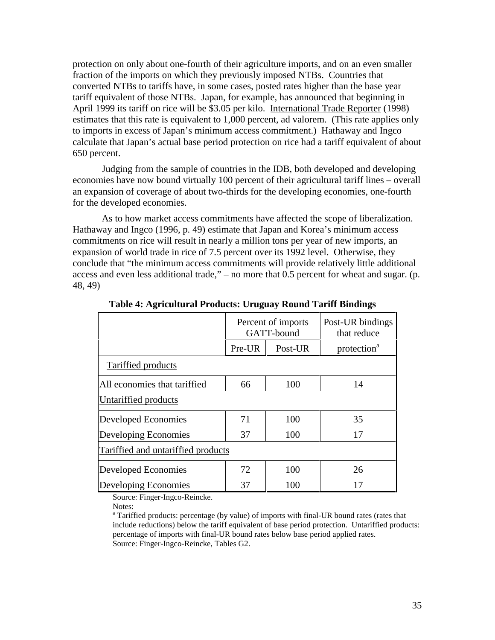protection on only about one-fourth of their agriculture imports, and on an even smaller fraction of the imports on which they previously imposed NTBs. Countries that converted NTBs to tariffs have, in some cases, posted rates higher than the base year tariff equivalent of those NTBs. Japan, for example, has announced that beginning in April 1999 its tariff on rice will be \$3.05 per kilo. International Trade Reporter (1998) estimates that this rate is equivalent to 1,000 percent, ad valorem. (This rate applies only to imports in excess of Japan's minimum access commitment.) Hathaway and Ingco calculate that Japan's actual base period protection on rice had a tariff equivalent of about 650 percent.

Judging from the sample of countries in the IDB, both developed and developing economies have now bound virtually 100 percent of their agricultural tariff lines – overall an expansion of coverage of about two-thirds for the developing economies, one-fourth for the developed economies.

As to how market access commitments have affected the scope of liberalization. Hathaway and Ingco (1996, p. 49) estimate that Japan and Korea's minimum access commitments on rice will result in nearly a million tons per year of new imports, an expansion of world trade in rice of 7.5 percent over its 1992 level. Otherwise, they conclude that "the minimum access commitments will provide relatively little additional access and even less additional trade," – no more that 0.5 percent for wheat and sugar. (p. 48, 49)

|                                    | Percent of imports<br>GATT-bound |         | Post-UR bindings<br>that reduce |
|------------------------------------|----------------------------------|---------|---------------------------------|
|                                    | Pre-UR                           | Post-UR | protection <sup>a</sup>         |
| <b>Tariffied products</b>          |                                  |         |                                 |
| All economies that tariffied       | 66                               | 100     | 14                              |
| Untariffied products               |                                  |         |                                 |
| Developed Economies                | 71                               | 100     | 35                              |
| Developing Economies               | 37                               | 100     | 17                              |
| Tariffied and untariffied products |                                  |         |                                 |
| <b>Developed Economies</b>         | 72                               | 100     | 26                              |
| Developing Economies               | 37                               | 100     | 17                              |

**Table 4: Agricultural Products: Uruguay Round Tariff Bindings**

Source: Finger-Ingco-Reincke.

Notes:

<sup>&</sup>lt;sup>a</sup> Tariffied products: percentage (by value) of imports with final-UR bound rates (rates that include reductions) below the tariff equivalent of base period protection. Untariffied products: percentage of imports with final-UR bound rates below base period applied rates. Source: Finger-Ingco-Reincke, Tables G2.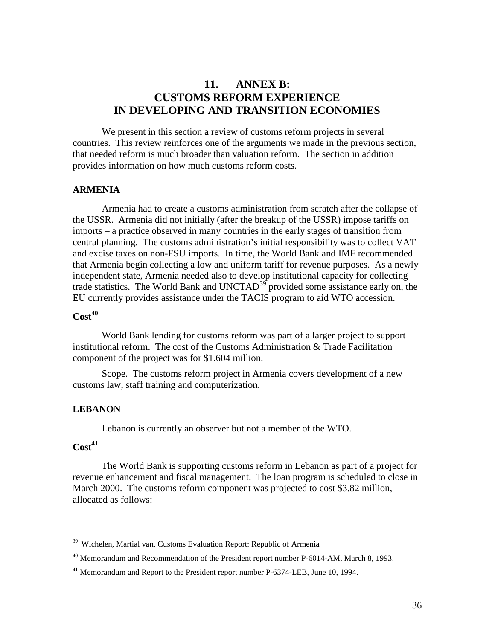## **11. ANNEX B: CUSTOMS REFORM EXPERIENCE IN DEVELOPING AND TRANSITION ECONOMIES**

We present in this section a review of customs reform projects in several countries. This review reinforces one of the arguments we made in the previous section, that needed reform is much broader than valuation reform. The section in addition provides information on how much customs reform costs.

#### **ARMENIA**

Armenia had to create a customs administration from scratch after the collapse of the USSR. Armenia did not initially (after the breakup of the USSR) impose tariffs on imports – a practice observed in many countries in the early stages of transition from central planning. The customs administration's initial responsibility was to collect VAT and excise taxes on non-FSU imports. In time, the World Bank and IMF recommended that Armenia begin collecting a low and uniform tariff for revenue purposes. As a newly independent state, Armenia needed also to develop institutional capacity for collecting trade statistics. The World Bank and UNCTAD<sup>39</sup> provided some assistance early on, the EU currently provides assistance under the TACIS program to aid WTO accession.

## $Cost<sup>40</sup>$

World Bank lending for customs reform was part of a larger project to support institutional reform. The cost of the Customs Administration & Trade Facilitation component of the project was for \$1.604 million.

Scope. The customs reform project in Armenia covers development of a new customs law, staff training and computerization.

### **LEBANON**

Lebanon is currently an observer but not a member of the WTO.

## $Cost<sup>41</sup>$

<u>.</u>

The World Bank is supporting customs reform in Lebanon as part of a project for revenue enhancement and fiscal management. The loan program is scheduled to close in March 2000. The customs reform component was projected to cost \$3.82 million, allocated as follows:

<sup>&</sup>lt;sup>39</sup> Wichelen, Martial van, Customs Evaluation Report: Republic of Armenia

 $^{40}$  Memorandum and Recommendation of the President report number P-6014-AM, March 8, 1993.

<sup>&</sup>lt;sup>41</sup> Memorandum and Report to the President report number P-6374-LEB, June 10, 1994.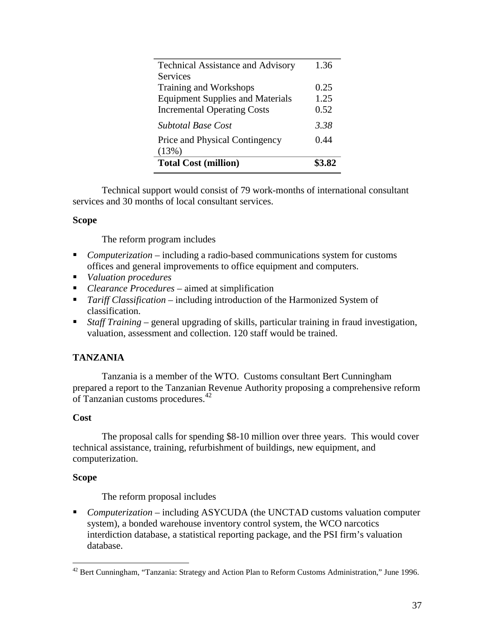| <b>Technical Assistance and Advisory</b> | 1.36 |
|------------------------------------------|------|
| Services                                 |      |
| Training and Workshops                   | 0.25 |
| <b>Equipment Supplies and Materials</b>  | 1.25 |
| <b>Incremental Operating Costs</b>       | 0.52 |
| <b>Subtotal Base Cost</b>                | 3.38 |
| Price and Physical Contingency           | 0.44 |
| (13%)                                    |      |
| <b>Total Cost (million)</b>              |      |

Technical support would consist of 79 work-months of international consultant services and 30 months of local consultant services.

## **Scope**

The reform program includes

- *Computerization* including a radio-based communications system for customs offices and general improvements to office equipment and computers.
- *Valuation procedures*
- *Clearance Procedures* aimed at simplification
- *Tariff Classification* including introduction of the Harmonized System of classification.
- *Staff Training* general upgrading of skills, particular training in fraud investigation, valuation, assessment and collection. 120 staff would be trained.

## **TANZANIA**

Tanzania is a member of the WTO. Customs consultant Bert Cunningham prepared a report to the Tanzanian Revenue Authority proposing a comprehensive reform of Tanzanian customs procedures.<sup>42</sup>

## **Cost**

The proposal calls for spending \$8-10 million over three years. This would cover technical assistance, training, refurbishment of buildings, new equipment, and computerization.

## **Scope**

The reform proposal includes

 *Computerization* – including ASYCUDA (the UNCTAD customs valuation computer system), a bonded warehouse inventory control system, the WCO narcotics interdiction database, a statistical reporting package, and the PSI firm's valuation database.

<sup>&</sup>lt;u>.</u>  $42$  Bert Cunningham, "Tanzania: Strategy and Action Plan to Reform Customs Administration," June 1996.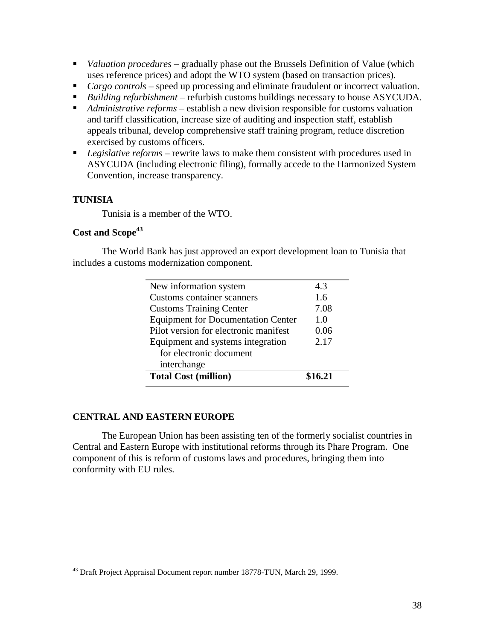- *Valuation procedures* gradually phase out the Brussels Definition of Value (which uses reference prices) and adopt the WTO system (based on transaction prices).
- *Cargo controls* speed up processing and eliminate fraudulent or incorrect valuation.
- *Building refurbishment* refurbish customs buildings necessary to house ASYCUDA.
- *Administrative reforms* establish a new division responsible for customs valuation and tariff classification, increase size of auditing and inspection staff, establish appeals tribunal, develop comprehensive staff training program, reduce discretion exercised by customs officers.
- *Legislative reforms* rewrite laws to make them consistent with procedures used in ASYCUDA (including electronic filing), formally accede to the Harmonized System Convention, increase transparency.

## **TUNISIA**

Tunisia is a member of the WTO.

## Cost and Scope<sup>43</sup>

The World Bank has just approved an export development loan to Tunisia that includes a customs modernization component.

| New information system                    | 4.3     |
|-------------------------------------------|---------|
| <b>Customs container scanners</b>         | 1.6     |
| <b>Customs Training Center</b>            | 7.08    |
| <b>Equipment for Documentation Center</b> | 1.0     |
| Pilot version for electronic manifest     | 0.06    |
| Equipment and systems integration         | 2.17    |
| for electronic document                   |         |
| interchange                               |         |
| <b>Total Cost (million)</b>               | \$16.21 |

## **CENTRAL AND EASTERN EUROPE**

The European Union has been assisting ten of the formerly socialist countries in Central and Eastern Europe with institutional reforms through its Phare Program. One component of this is reform of customs laws and procedures, bringing them into conformity with EU rules.

<sup>&</sup>lt;u>.</u> <sup>43</sup> Draft Project Appraisal Document report number 18778-TUN, March 29, 1999.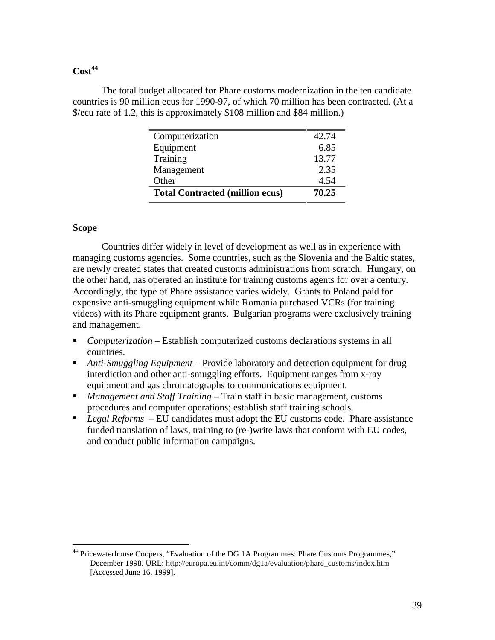## $Cost<sup>44</sup>$

The total budget allocated for Phare customs modernization in the ten candidate countries is 90 million ecus for 1990-97, of which 70 million has been contracted. (At a \$/ecu rate of 1.2, this is approximately \$108 million and \$84 million.)

| Computerization                        | 42.74 |
|----------------------------------------|-------|
| Equipment                              | 6.85  |
| Training                               | 13.77 |
| Management                             | 2.35  |
| Other                                  | 4.54  |
| <b>Total Contracted (million ecus)</b> | 70.25 |
|                                        |       |

### **Scope**

Countries differ widely in level of development as well as in experience with managing customs agencies. Some countries, such as the Slovenia and the Baltic states, are newly created states that created customs administrations from scratch. Hungary, on the other hand, has operated an institute for training customs agents for over a century. Accordingly, the type of Phare assistance varies widely. Grants to Poland paid for expensive anti-smuggling equipment while Romania purchased VCRs (for training videos) with its Phare equipment grants. Bulgarian programs were exclusively training and management.

- *Computerization* Establish computerized customs declarations systems in all countries.
- *Anti-Smuggling Equipment* Provide laboratory and detection equipment for drug interdiction and other anti-smuggling efforts. Equipment ranges from x-ray equipment and gas chromatographs to communications equipment.
- *Management and Staff Training* Train staff in basic management, customs procedures and computer operations; establish staff training schools.
- *Legal Reforms*  EU candidates must adopt the EU customs code. Phare assistance funded translation of laws, training to (re-)write laws that conform with EU codes, and conduct public information campaigns.

<sup>&</sup>lt;u>.</u> <sup>44</sup> Pricewaterhouse Coopers, "Evaluation of the DG 1A Programmes: Phare Customs Programmes," December 1998. URL: http://europa.eu.int/comm/dg1a/evaluation/phare\_customs/index.htm [Accessed June 16, 1999].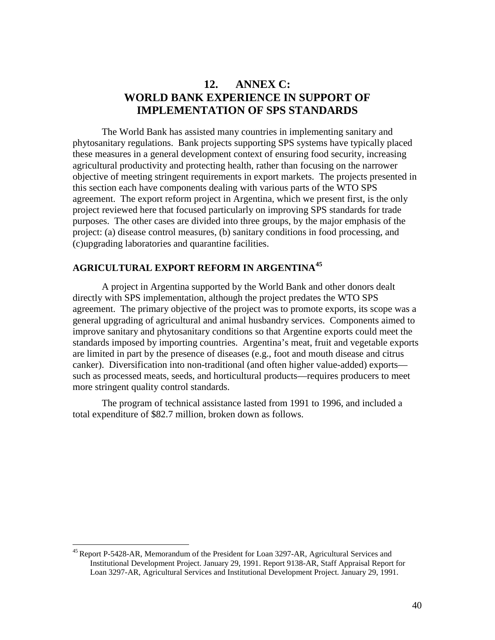## **12. ANNEX C: WORLD BANK EXPERIENCE IN SUPPORT OF IMPLEMENTATION OF SPS STANDARDS**

The World Bank has assisted many countries in implementing sanitary and phytosanitary regulations. Bank projects supporting SPS systems have typically placed these measures in a general development context of ensuring food security, increasing agricultural productivity and protecting health, rather than focusing on the narrower objective of meeting stringent requirements in export markets. The projects presented in this section each have components dealing with various parts of the WTO SPS agreement. The export reform project in Argentina, which we present first, is the only project reviewed here that focused particularly on improving SPS standards for trade purposes. The other cases are divided into three groups, by the major emphasis of the project: (a) disease control measures, (b) sanitary conditions in food processing, and (c)upgrading laboratories and quarantine facilities.

## **AGRICULTURAL EXPORT REFORM IN ARGENTINA<sup>45</sup>**

A project in Argentina supported by the World Bank and other donors dealt directly with SPS implementation, although the project predates the WTO SPS agreement. The primary objective of the project was to promote exports, its scope was a general upgrading of agricultural and animal husbandry services. Components aimed to improve sanitary and phytosanitary conditions so that Argentine exports could meet the standards imposed by importing countries. Argentina's meat, fruit and vegetable exports are limited in part by the presence of diseases (e.g., foot and mouth disease and citrus canker). Diversification into non-traditional (and often higher value-added) exports such as processed meats, seeds, and horticultural products—requires producers to meet more stringent quality control standards.

The program of technical assistance lasted from 1991 to 1996, and included a total expenditure of \$82.7 million, broken down as follows.

<u>.</u>

<sup>&</sup>lt;sup>45</sup> Report P-5428-AR, Memorandum of the President for Loan 3297-AR, Agricultural Services and Institutional Development Project. January 29, 1991. Report 9138-AR, Staff Appraisal Report for Loan 3297-AR, Agricultural Services and Institutional Development Project. January 29, 1991.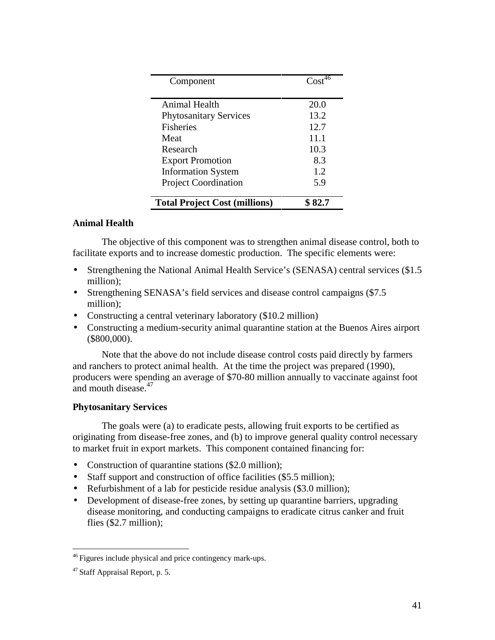| Component                            | $\text{Cost}^{\overline{46}}$ |
|--------------------------------------|-------------------------------|
| Animal Health                        | 20.0                          |
| <b>Phytosanitary Services</b>        | 13.2                          |
| <b>Fisheries</b>                     | 12.7                          |
| Meat                                 | 11.1                          |
| Research                             | 10.3                          |
| <b>Export Promotion</b>              | 8.3                           |
| <b>Information System</b>            | 1.2.                          |
| <b>Project Coordination</b>          | 5.9                           |
| <b>Total Project Cost (millions)</b> | \$ 82.7                       |

## **Animal Health**

The objective of this component was to strengthen animal disease control, both to facilitate exports and to increase domestic production. The specific elements were:

- Strengthening the National Animal Health Service's (SENASA) central services (\$1.5) million);
- Strengthening SENASA's field services and disease control campaigns (\$7.5) million);
- Constructing a central veterinary laboratory (\$10.2 million)
- Constructing a medium-security animal quarantine station at the Buenos Aires airport (\$800,000).

Note that the above do not include disease control costs paid directly by farmers and ranchers to protect animal health. At the time the project was prepared (1990), producers were spending an average of \$70-80 million annually to vaccinate against foot and mouth disease.<sup>47</sup>

## **Phytosanitary Services**

The goals were (a) to eradicate pests, allowing fruit exports to be certified as originating from disease-free zones, and (b) to improve general quality control necessary to market fruit in export markets. This component contained financing for:

- Construction of quarantine stations (\$2.0 million);
- Staff support and construction of office facilities (\$5.5 million);
- Refurbishment of a lab for pesticide residue analysis (\$3.0 million);
- Development of disease-free zones, by setting up quarantine barriers, upgrading disease monitoring, and conducting campaigns to eradicate citrus canker and fruit flies (\$2.7 million);

-

<sup>&</sup>lt;sup>46</sup> Figures include physical and price contingency mark-ups.

<sup>47</sup> Staff Appraisal Report, p. 5.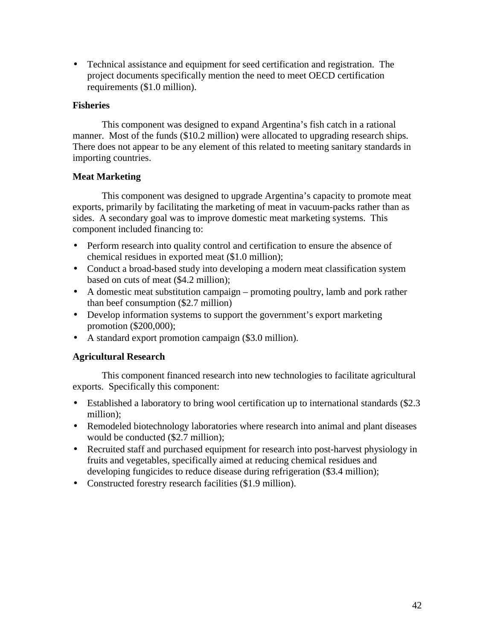• Technical assistance and equipment for seed certification and registration. The project documents specifically mention the need to meet OECD certification requirements (\$1.0 million).

## **Fisheries**

This component was designed to expand Argentina's fish catch in a rational manner. Most of the funds (\$10.2 million) were allocated to upgrading research ships. There does not appear to be any element of this related to meeting sanitary standards in importing countries.

## **Meat Marketing**

This component was designed to upgrade Argentina's capacity to promote meat exports, primarily by facilitating the marketing of meat in vacuum-packs rather than as sides. A secondary goal was to improve domestic meat marketing systems. This component included financing to:

- Perform research into quality control and certification to ensure the absence of chemical residues in exported meat (\$1.0 million);
- Conduct a broad-based study into developing a modern meat classification system based on cuts of meat (\$4.2 million);
- A domestic meat substitution campaign promoting poultry, lamb and pork rather than beef consumption (\$2.7 million)
- Develop information systems to support the government's export marketing promotion (\$200,000);
- A standard export promotion campaign (\$3.0 million).

## **Agricultural Research**

This component financed research into new technologies to facilitate agricultural exports. Specifically this component:

- Established a laboratory to bring wool certification up to international standards (\$2.3) million);
- Remodeled biotechnology laboratories where research into animal and plant diseases would be conducted (\$2.7 million);
- Recruited staff and purchased equipment for research into post-harvest physiology in fruits and vegetables, specifically aimed at reducing chemical residues and developing fungicides to reduce disease during refrigeration (\$3.4 million);
- Constructed forestry research facilities (\$1.9 million).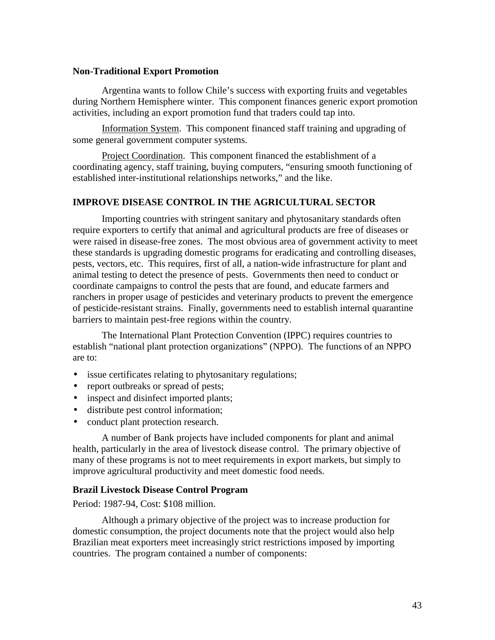### **Non-Traditional Export Promotion**

Argentina wants to follow Chile's success with exporting fruits and vegetables during Northern Hemisphere winter. This component finances generic export promotion activities, including an export promotion fund that traders could tap into.

Information System. This component financed staff training and upgrading of some general government computer systems.

Project Coordination. This component financed the establishment of a coordinating agency, staff training, buying computers, "ensuring smooth functioning of established inter-institutional relationships networks," and the like.

### **IMPROVE DISEASE CONTROL IN THE AGRICULTURAL SECTOR**

Importing countries with stringent sanitary and phytosanitary standards often require exporters to certify that animal and agricultural products are free of diseases or were raised in disease-free zones. The most obvious area of government activity to meet these standards is upgrading domestic programs for eradicating and controlling diseases, pests, vectors, etc. This requires, first of all, a nation-wide infrastructure for plant and animal testing to detect the presence of pests. Governments then need to conduct or coordinate campaigns to control the pests that are found, and educate farmers and ranchers in proper usage of pesticides and veterinary products to prevent the emergence of pesticide-resistant strains. Finally, governments need to establish internal quarantine barriers to maintain pest-free regions within the country.

The International Plant Protection Convention (IPPC) requires countries to establish "national plant protection organizations" (NPPO). The functions of an NPPO are to:

- issue certificates relating to phytosanitary regulations;
- report outbreaks or spread of pests;
- inspect and disinfect imported plants;
- distribute pest control information;
- conduct plant protection research.

A number of Bank projects have included components for plant and animal health, particularly in the area of livestock disease control. The primary objective of many of these programs is not to meet requirements in export markets, but simply to improve agricultural productivity and meet domestic food needs.

### **Brazil Livestock Disease Control Program**

Period: 1987-94, Cost: \$108 million.

Although a primary objective of the project was to increase production for domestic consumption, the project documents note that the project would also help Brazilian meat exporters meet increasingly strict restrictions imposed by importing countries. The program contained a number of components: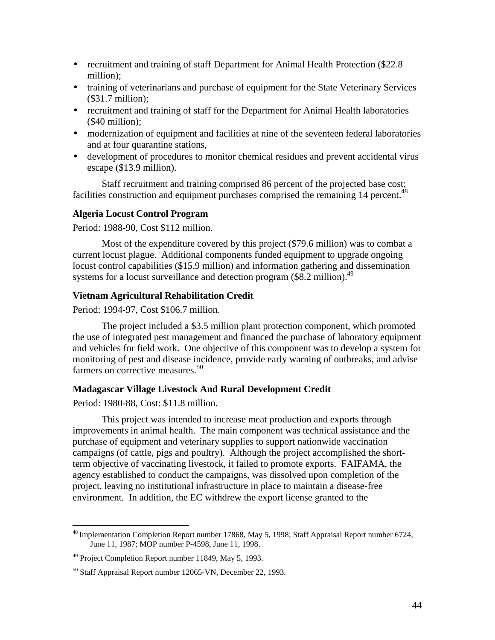- recruitment and training of staff Department for Animal Health Protection (\$22.8) million);
- training of veterinarians and purchase of equipment for the State Veterinary Services (\$31.7 million);
- recruitment and training of staff for the Department for Animal Health laboratories (\$40 million);
- modernization of equipment and facilities at nine of the seventeen federal laboratories and at four quarantine stations,
- development of procedures to monitor chemical residues and prevent accidental virus escape (\$13.9 million).

Staff recruitment and training comprised 86 percent of the projected base cost; facilities construction and equipment purchases comprised the remaining  $14$  percent.<sup>48</sup>

## **Algeria Locust Control Program**

Period: 1988-90, Cost \$112 million.

Most of the expenditure covered by this project (\$79.6 million) was to combat a current locust plague. Additional components funded equipment to upgrade ongoing locust control capabilities (\$15.9 million) and information gathering and dissemination systems for a locust surveillance and detection program  $$8.2$  million).<sup>49</sup>

### **Vietnam Agricultural Rehabilitation Credit**

Period: 1994-97, Cost \$106.7 million.

The project included a \$3.5 million plant protection component, which promoted the use of integrated pest management and financed the purchase of laboratory equipment and vehicles for field work. One objective of this component was to develop a system for monitoring of pest and disease incidence, provide early warning of outbreaks, and advise farmers on corrective measures.<sup>50</sup>

## **Madagascar Village Livestock And Rural Development Credit**

Period: 1980-88, Cost: \$11.8 million.

<u>.</u>

This project was intended to increase meat production and exports through improvements in animal health. The main component was technical assistance and the purchase of equipment and veterinary supplies to support nationwide vaccination campaigns (of cattle, pigs and poultry). Although the project accomplished the shortterm objective of vaccinating livestock, it failed to promote exports. FAIFAMA, the agency established to conduct the campaigns, was dissolved upon completion of the project, leaving no institutional infrastructure in place to maintain a disease-free environment. In addition, the EC withdrew the export license granted to the

<sup>&</sup>lt;sup>48</sup> Implementation Completion Report number 17868, May 5, 1998; Staff Appraisal Report number 6724, June 11, 1987; MOP number P-4598, June 11, 1998.

<sup>&</sup>lt;sup>49</sup> Project Completion Report number 11849, May 5, 1993.

<sup>50</sup> Staff Appraisal Report number 12065-VN, December 22, 1993.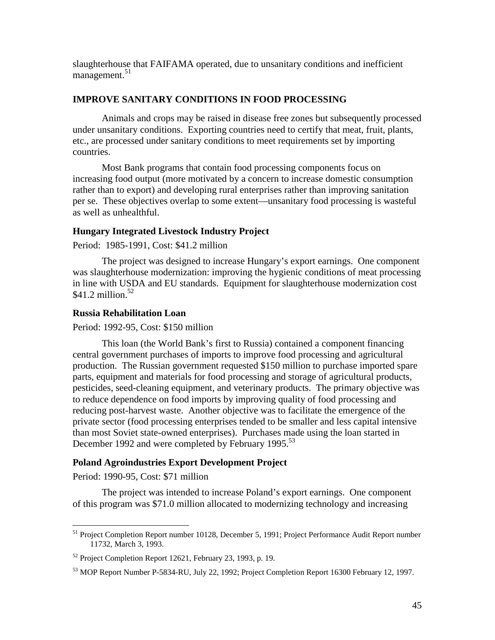slaughterhouse that FAIFAMA operated, due to unsanitary conditions and inefficient management.<sup>51</sup>

## **IMPROVE SANITARY CONDITIONS IN FOOD PROCESSING**

Animals and crops may be raised in disease free zones but subsequently processed under unsanitary conditions. Exporting countries need to certify that meat, fruit, plants, etc., are processed under sanitary conditions to meet requirements set by importing countries.

Most Bank programs that contain food processing components focus on increasing food output (more motivated by a concern to increase domestic consumption rather than to export) and developing rural enterprises rather than improving sanitation per se. These objectives overlap to some extent—unsanitary food processing is wasteful as well as unhealthful.

## **Hungary Integrated Livestock Industry Project**

Period: 1985-1991, Cost: \$41.2 million

The project was designed to increase Hungary's export earnings. One component was slaughterhouse modernization: improving the hygienic conditions of meat processing in line with USDA and EU standards. Equipment for slaughterhouse modernization cost \$41.2 million. $52$ 

### **Russia Rehabilitation Loan**

Period: 1992-95, Cost: \$150 million

This loan (the World Bank's first to Russia) contained a component financing central government purchases of imports to improve food processing and agricultural production. The Russian government requested \$150 million to purchase imported spare parts, equipment and materials for food processing and storage of agricultural products, pesticides, seed-cleaning equipment, and veterinary products. The primary objective was to reduce dependence on food imports by improving quality of food processing and reducing post-harvest waste. Another objective was to facilitate the emergence of the private sector (food processing enterprises tended to be smaller and less capital intensive than most Soviet state-owned enterprises). Purchases made using the loan started in December 1992 and were completed by February 1995.<sup>53</sup>

## **Poland Agroindustries Export Development Project**

Period: 1990-95, Cost: \$71 million

<u>.</u>

The project was intended to increase Poland's export earnings. One component of this program was \$71.0 million allocated to modernizing technology and increasing

<sup>&</sup>lt;sup>51</sup> Project Completion Report number 10128, December 5, 1991; Project Performance Audit Report number 11732, March 3, 1993.

<sup>52</sup> Project Completion Report 12621, February 23, 1993, p. 19.

<sup>53</sup> MOP Report Number P-5834-RU, July 22, 1992; Project Completion Report 16300 February 12, 1997.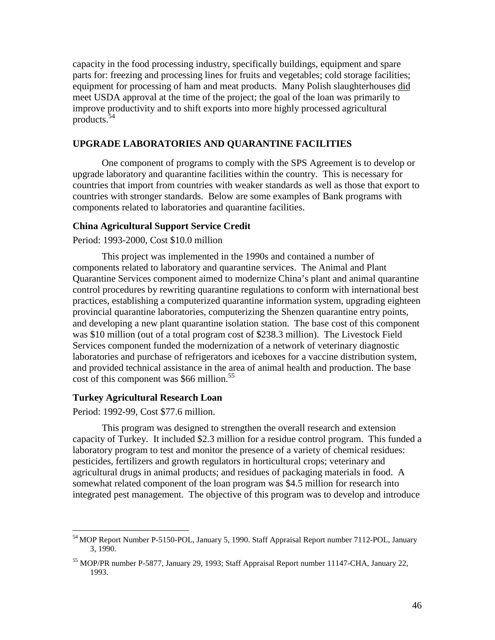capacity in the food processing industry, specifically buildings, equipment and spare parts for: freezing and processing lines for fruits and vegetables; cold storage facilities; equipment for processing of ham and meat products. Many Polish slaughterhouses did meet USDA approval at the time of the project; the goal of the loan was primarily to improve productivity and to shift exports into more highly processed agricultural products.<sup>54</sup>

### **UPGRADE LABORATORIES AND QUARANTINE FACILITIES**

One component of programs to comply with the SPS Agreement is to develop or upgrade laboratory and quarantine facilities within the country. This is necessary for countries that import from countries with weaker standards as well as those that export to countries with stronger standards. Below are some examples of Bank programs with components related to laboratories and quarantine facilities.

### **China Agricultural Support Service Credit**

## Period: 1993-2000, Cost \$10.0 million

This project was implemented in the 1990s and contained a number of components related to laboratory and quarantine services. The Animal and Plant Quarantine Services component aimed to modernize China's plant and animal quarantine control procedures by rewriting quarantine regulations to conform with international best practices, establishing a computerized quarantine information system, upgrading eighteen provincial quarantine laboratories, computerizing the Shenzen quarantine entry points, and developing a new plant quarantine isolation station. The base cost of this component was \$10 million (out of a total program cost of \$238.3 million). The Livestock Field Services component funded the modernization of a network of veterinary diagnostic laboratories and purchase of refrigerators and iceboxes for a vaccine distribution system, and provided technical assistance in the area of animal health and production. The base cost of this component was \$66 million.<sup>55</sup>

### **Turkey Agricultural Research Loan**

Period: 1992-99, Cost \$77.6 million.

<u>.</u>

This program was designed to strengthen the overall research and extension capacity of Turkey. It included \$2.3 million for a residue control program. This funded a laboratory program to test and monitor the presence of a variety of chemical residues: pesticides, fertilizers and growth regulators in horticultural crops; veterinary and agricultural drugs in animal products; and residues of packaging materials in food. A somewhat related component of the loan program was \$4.5 million for research into integrated pest management. The objective of this program was to develop and introduce

<sup>&</sup>lt;sup>54</sup> MOP Report Number P-5150-POL, January 5, 1990. Staff Appraisal Report number 7112-POL, January 3, 1990.

<sup>55</sup> MOP/PR number P-5877, January 29, 1993; Staff Appraisal Report number 11147-CHA, January 22, 1993.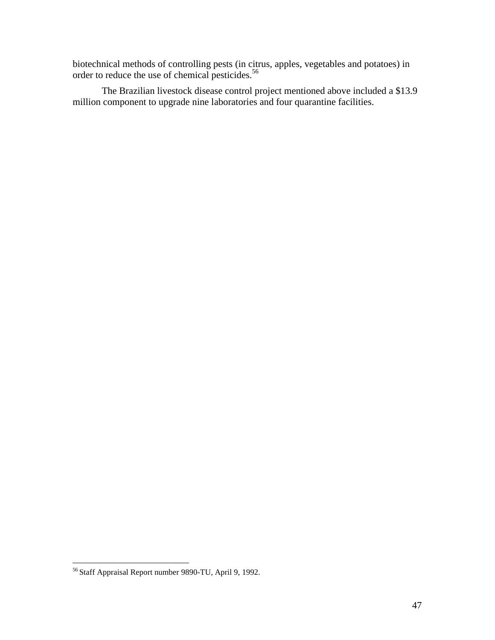biotechnical methods of controlling pests (in citrus, apples, vegetables and potatoes) in order to reduce the use of chemical pesticides.<sup>56</sup>

The Brazilian livestock disease control project mentioned above included a \$13.9 million component to upgrade nine laboratories and four quarantine facilities.

<u>.</u>

<sup>&</sup>lt;sup>56</sup> Staff Appraisal Report number 9890-TU, April 9, 1992.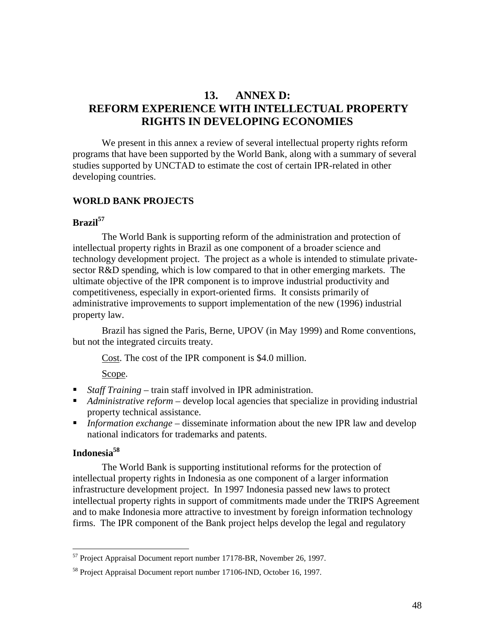## **13. ANNEX D: REFORM EXPERIENCE WITH INTELLECTUAL PROPERTY RIGHTS IN DEVELOPING ECONOMIES**

We present in this annex a review of several intellectual property rights reform programs that have been supported by the World Bank, along with a summary of several studies supported by UNCTAD to estimate the cost of certain IPR-related in other developing countries.

## **WORLD BANK PROJECTS**

### **Brazil<sup>57</sup>**

The World Bank is supporting reform of the administration and protection of intellectual property rights in Brazil as one component of a broader science and technology development project. The project as a whole is intended to stimulate privatesector R&D spending, which is low compared to that in other emerging markets. The ultimate objective of the IPR component is to improve industrial productivity and competitiveness, especially in export-oriented firms. It consists primarily of administrative improvements to support implementation of the new (1996) industrial property law.

Brazil has signed the Paris, Berne, UPOV (in May 1999) and Rome conventions, but not the integrated circuits treaty.

Cost. The cost of the IPR component is \$4.0 million.

Scope.

- *Staff Training* train staff involved in IPR administration.
- *Administrative reform* develop local agencies that specialize in providing industrial property technical assistance.
- *Information exchange* disseminate information about the new IPR law and develop national indicators for trademarks and patents.

## **Indonesia58**

-

The World Bank is supporting institutional reforms for the protection of intellectual property rights in Indonesia as one component of a larger information infrastructure development project. In 1997 Indonesia passed new laws to protect intellectual property rights in support of commitments made under the TRIPS Agreement and to make Indonesia more attractive to investment by foreign information technology firms. The IPR component of the Bank project helps develop the legal and regulatory

<sup>&</sup>lt;sup>57</sup> Project Appraisal Document report number 17178-BR, November 26, 1997.

<sup>58</sup> Project Appraisal Document report number 17106-IND, October 16, 1997.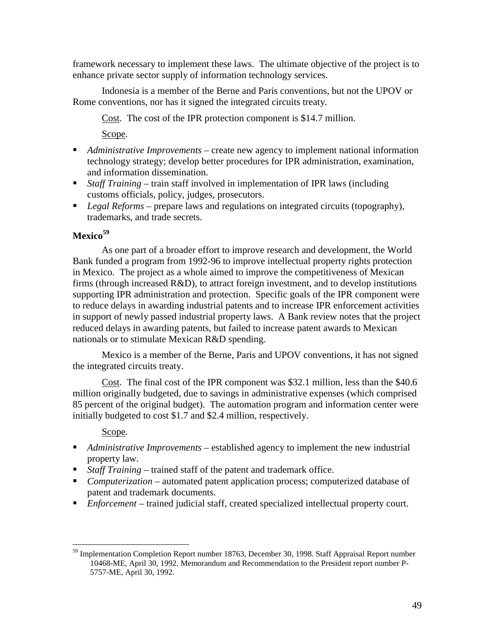framework necessary to implement these laws. The ultimate objective of the project is to enhance private sector supply of information technology services.

Indonesia is a member of the Berne and Paris conventions, but not the UPOV or Rome conventions, nor has it signed the integrated circuits treaty.

Cost. The cost of the IPR protection component is \$14.7 million.

Scope.

- *Administrative Improvements* create new agency to implement national information technology strategy; develop better procedures for IPR administration, examination, and information dissemination.
- *Staff Training* train staff involved in implementation of IPR laws (including customs officials, policy, judges, prosecutors.
- *Legal Reforms* prepare laws and regulations on integrated circuits (topography), trademarks, and trade secrets.

## **Mexico<sup>59</sup>**

As one part of a broader effort to improve research and development, the World Bank funded a program from 1992-96 to improve intellectual property rights protection in Mexico. The project as a whole aimed to improve the competitiveness of Mexican firms (through increased R&D), to attract foreign investment, and to develop institutions supporting IPR administration and protection. Specific goals of the IPR component were to reduce delays in awarding industrial patents and to increase IPR enforcement activities in support of newly passed industrial property laws. A Bank review notes that the project reduced delays in awarding patents, but failed to increase patent awards to Mexican nationals or to stimulate Mexican R&D spending.

Mexico is a member of the Berne, Paris and UPOV conventions, it has not signed the integrated circuits treaty.

Cost. The final cost of the IPR component was \$32.1 million, less than the \$40.6 million originally budgeted, due to savings in administrative expenses (which comprised 85 percent of the original budget). The automation program and information center were initially budgeted to cost \$1.7 and \$2.4 million, respectively.

## Scope.

- *Administrative Improvements* established agency to implement the new industrial property law.
- *Staff Training* trained staff of the patent and trademark office.
- *Computerization* automated patent application process; computerized database of patent and trademark documents.
- *Enforcement* trained judicial staff, created specialized intellectual property court.

<sup>&</sup>lt;u>.</u> <sup>59</sup> Implementation Completion Report number 18763, December 30, 1998. Staff Appraisal Report number 10468-ME, April 30, 1992. Memorandum and Recommendation to the President report number P-5757-ME, April 30, 1992.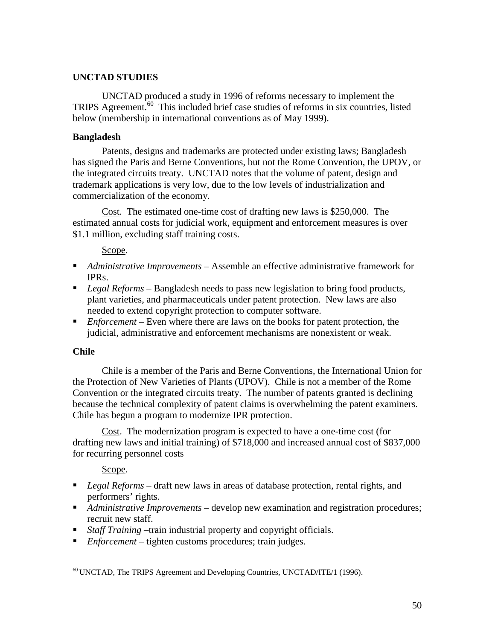## **UNCTAD STUDIES**

UNCTAD produced a study in 1996 of reforms necessary to implement the TRIPS Agreement.60 This included brief case studies of reforms in six countries, listed below (membership in international conventions as of May 1999).

## **Bangladesh**

Patents, designs and trademarks are protected under existing laws; Bangladesh has signed the Paris and Berne Conventions, but not the Rome Convention, the UPOV, or the integrated circuits treaty. UNCTAD notes that the volume of patent, design and trademark applications is very low, due to the low levels of industrialization and commercialization of the economy.

Cost. The estimated one-time cost of drafting new laws is \$250,000. The estimated annual costs for judicial work, equipment and enforcement measures is over \$1.1 million, excluding staff training costs.

Scope.

- *Administrative Improvements* Assemble an effective administrative framework for IPRs.
- *Legal Reforms* Bangladesh needs to pass new legislation to bring food products, plant varieties, and pharmaceuticals under patent protection. New laws are also needed to extend copyright protection to computer software.
- *Enforcement* Even where there are laws on the books for patent protection, the judicial, administrative and enforcement mechanisms are nonexistent or weak.

## **Chile**

Chile is a member of the Paris and Berne Conventions, the International Union for the Protection of New Varieties of Plants (UPOV). Chile is not a member of the Rome Convention or the integrated circuits treaty. The number of patents granted is declining because the technical complexity of patent claims is overwhelming the patent examiners. Chile has begun a program to modernize IPR protection.

Cost. The modernization program is expected to have a one-time cost (for drafting new laws and initial training) of \$718,000 and increased annual cost of \$837,000 for recurring personnel costs

Scope.

- *Legal Reforms* draft new laws in areas of database protection, rental rights, and performers' rights.
- *Administrative Improvements* develop new examination and registration procedures; recruit new staff.
- *Staff Training* –train industrial property and copyright officials.
- *Enforcement* tighten customs procedures; train judges.

<sup>&</sup>lt;u>.</u> 60 UNCTAD, The TRIPS Agreement and Developing Countries, UNCTAD/ITE/1 (1996).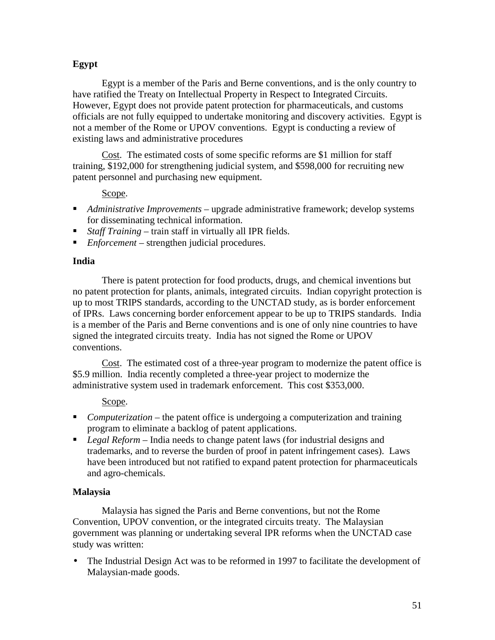## **Egypt**

Egypt is a member of the Paris and Berne conventions, and is the only country to have ratified the Treaty on Intellectual Property in Respect to Integrated Circuits. However, Egypt does not provide patent protection for pharmaceuticals, and customs officials are not fully equipped to undertake monitoring and discovery activities. Egypt is not a member of the Rome or UPOV conventions. Egypt is conducting a review of existing laws and administrative procedures

Cost. The estimated costs of some specific reforms are \$1 million for staff training, \$192,000 for strengthening judicial system, and \$598,000 for recruiting new patent personnel and purchasing new equipment.

## Scope.

- *Administrative Improvements* upgrade administrative framework; develop systems for disseminating technical information.
- *Staff Training* train staff in virtually all IPR fields.
- *Enforcement* strengthen judicial procedures.

## **India**

There is patent protection for food products, drugs, and chemical inventions but no patent protection for plants, animals, integrated circuits. Indian copyright protection is up to most TRIPS standards, according to the UNCTAD study, as is border enforcement of IPRs. Laws concerning border enforcement appear to be up to TRIPS standards. India is a member of the Paris and Berne conventions and is one of only nine countries to have signed the integrated circuits treaty. India has not signed the Rome or UPOV conventions.

Cost. The estimated cost of a three-year program to modernize the patent office is \$5.9 million. India recently completed a three-year project to modernize the administrative system used in trademark enforcement. This cost \$353,000.

## Scope.

- *Computerization* the patent office is undergoing a computerization and training program to eliminate a backlog of patent applications.
- *Legal Reform* India needs to change patent laws (for industrial designs and trademarks, and to reverse the burden of proof in patent infringement cases). Laws have been introduced but not ratified to expand patent protection for pharmaceuticals and agro-chemicals.

## **Malaysia**

Malaysia has signed the Paris and Berne conventions, but not the Rome Convention, UPOV convention, or the integrated circuits treaty. The Malaysian government was planning or undertaking several IPR reforms when the UNCTAD case study was written:

The Industrial Design Act was to be reformed in 1997 to facilitate the development of Malaysian-made goods.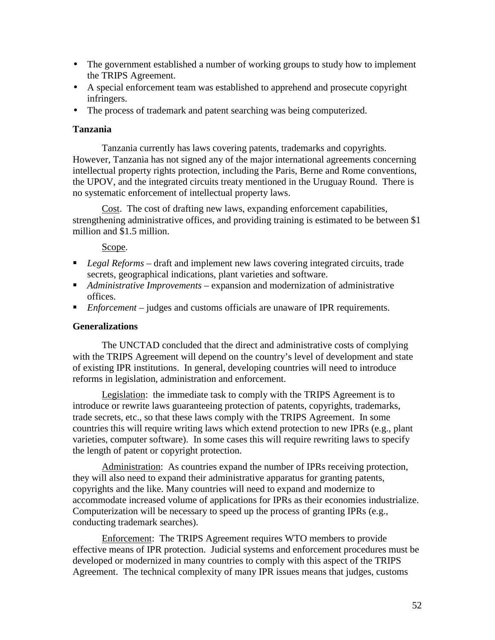- The government established a number of working groups to study how to implement the TRIPS Agreement.
- A special enforcement team was established to apprehend and prosecute copyright infringers.
- The process of trademark and patent searching was being computerized.

## **Tanzania**

Tanzania currently has laws covering patents, trademarks and copyrights. However, Tanzania has not signed any of the major international agreements concerning intellectual property rights protection, including the Paris, Berne and Rome conventions, the UPOV, and the integrated circuits treaty mentioned in the Uruguay Round. There is no systematic enforcement of intellectual property laws.

Cost. The cost of drafting new laws, expanding enforcement capabilities, strengthening administrative offices, and providing training is estimated to be between \$1 million and \$1.5 million.

## Scope.

- *Legal Reforms* draft and implement new laws covering integrated circuits, trade secrets, geographical indications, plant varieties and software.
- *Administrative Improvements* expansion and modernization of administrative offices.
- *Enforcement* judges and customs officials are unaware of IPR requirements.

## **Generalizations**

The UNCTAD concluded that the direct and administrative costs of complying with the TRIPS Agreement will depend on the country's level of development and state of existing IPR institutions. In general, developing countries will need to introduce reforms in legislation, administration and enforcement.

Legislation: the immediate task to comply with the TRIPS Agreement is to introduce or rewrite laws guaranteeing protection of patents, copyrights, trademarks, trade secrets, etc., so that these laws comply with the TRIPS Agreement. In some countries this will require writing laws which extend protection to new IPRs (e.g., plant varieties, computer software). In some cases this will require rewriting laws to specify the length of patent or copyright protection.

Administration: As countries expand the number of IPRs receiving protection, they will also need to expand their administrative apparatus for granting patents, copyrights and the like. Many countries will need to expand and modernize to accommodate increased volume of applications for IPRs as their economies industrialize. Computerization will be necessary to speed up the process of granting IPRs (e.g., conducting trademark searches).

Enforcement: The TRIPS Agreement requires WTO members to provide effective means of IPR protection. Judicial systems and enforcement procedures must be developed or modernized in many countries to comply with this aspect of the TRIPS Agreement. The technical complexity of many IPR issues means that judges, customs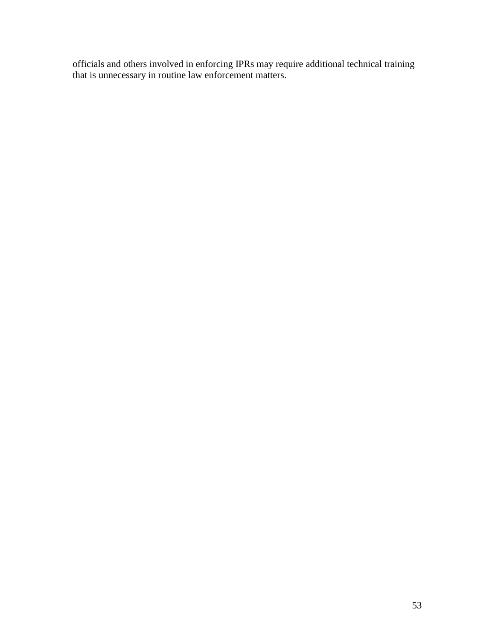officials and others involved in enforcing IPRs may require additional technical training that is unnecessary in routine law enforcement matters.